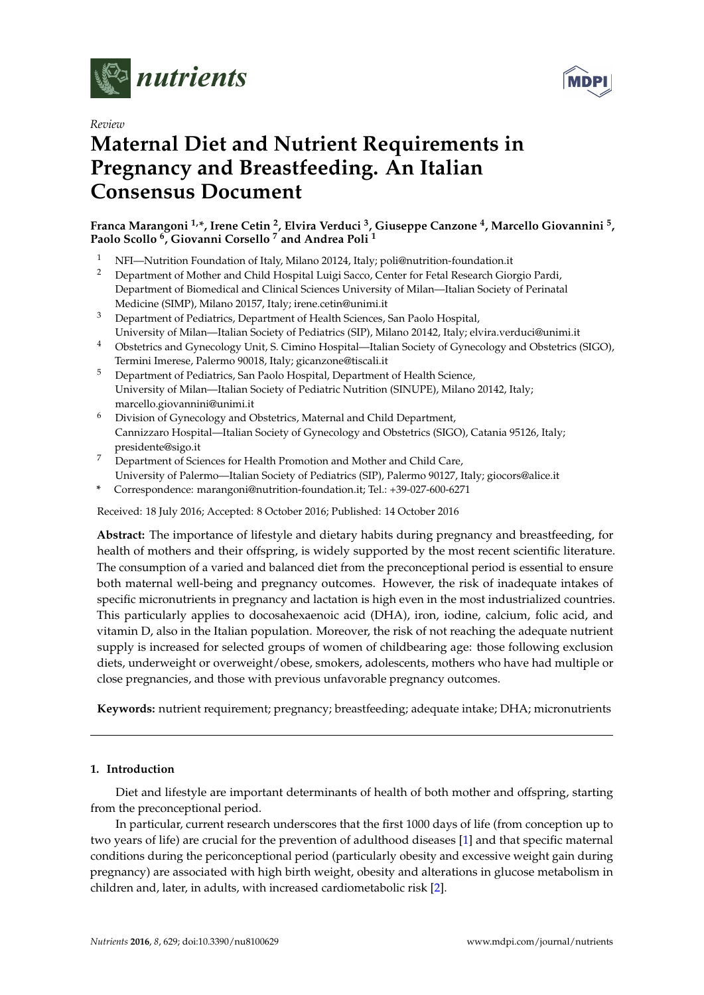



# *Review* **Maternal Diet and Nutrient Requirements in Pregnancy and Breastfeeding. An Italian Consensus Document**

# **Franca Marangoni 1,\*, Irene Cetin <sup>2</sup> , Elvira Verduci <sup>3</sup> , Giuseppe Canzone <sup>4</sup> , Marcello Giovannini <sup>5</sup> , Paolo Scollo <sup>6</sup> , Giovanni Corsello <sup>7</sup> and Andrea Poli <sup>1</sup>**

- <sup>1</sup> NFI—Nutrition Foundation of Italy, Milano 20124, Italy; poli@nutrition-foundation.it<br><sup>2</sup> Department of Mother and Child Hespital Luisi Sacco, Center for Fetal Research Cio
- <sup>2</sup> Department of Mother and Child Hospital Luigi Sacco, Center for Fetal Research Giorgio Pardi, Department of Biomedical and Clinical Sciences University of Milan—Italian Society of Perinatal Medicine (SIMP), Milano 20157, Italy; irene.cetin@unimi.it
- <sup>3</sup> Department of Pediatrics, Department of Health Sciences, San Paolo Hospital, University of Milan—Italian Society of Pediatrics (SIP), Milano 20142, Italy; elvira.verduci@unimi.it
- <sup>4</sup> Obstetrics and Gynecology Unit, S. Cimino Hospital—Italian Society of Gynecology and Obstetrics (SIGO), Termini Imerese, Palermo 90018, Italy; gicanzone@tiscali.it
- <sup>5</sup> Department of Pediatrics, San Paolo Hospital, Department of Health Science, University of Milan—Italian Society of Pediatric Nutrition (SINUPE), Milano 20142, Italy; marcello.giovannini@unimi.it
- <sup>6</sup> Division of Gynecology and Obstetrics, Maternal and Child Department, Cannizzaro Hospital—Italian Society of Gynecology and Obstetrics (SIGO), Catania 95126, Italy; presidente@sigo.it
- <sup>7</sup> Department of Sciences for Health Promotion and Mother and Child Care, University of Palermo—Italian Society of Pediatrics (SIP), Palermo 90127, Italy; giocors@alice.it
- **\*** Correspondence: marangoni@nutrition-foundation.it; Tel.: +39-027-600-6271

Received: 18 July 2016; Accepted: 8 October 2016; Published: 14 October 2016

**Abstract:** The importance of lifestyle and dietary habits during pregnancy and breastfeeding, for health of mothers and their offspring, is widely supported by the most recent scientific literature. The consumption of a varied and balanced diet from the preconceptional period is essential to ensure both maternal well-being and pregnancy outcomes. However, the risk of inadequate intakes of specific micronutrients in pregnancy and lactation is high even in the most industrialized countries. This particularly applies to docosahexaenoic acid (DHA), iron, iodine, calcium, folic acid, and vitamin D, also in the Italian population. Moreover, the risk of not reaching the adequate nutrient supply is increased for selected groups of women of childbearing age: those following exclusion diets, underweight or overweight/obese, smokers, adolescents, mothers who have had multiple or close pregnancies, and those with previous unfavorable pregnancy outcomes.

**Keywords:** nutrient requirement; pregnancy; breastfeeding; adequate intake; DHA; micronutrients

# **1. Introduction**

Diet and lifestyle are important determinants of health of both mother and offspring, starting from the preconceptional period.

In particular, current research underscores that the first 1000 days of life (from conception up to two years of life) are crucial for the prevention of adulthood diseases [\[1\]](#page-11-0) and that specific maternal conditions during the periconceptional period (particularly obesity and excessive weight gain during pregnancy) are associated with high birth weight, obesity and alterations in glucose metabolism in children and, later, in adults, with increased cardiometabolic risk [\[2\]](#page-11-1).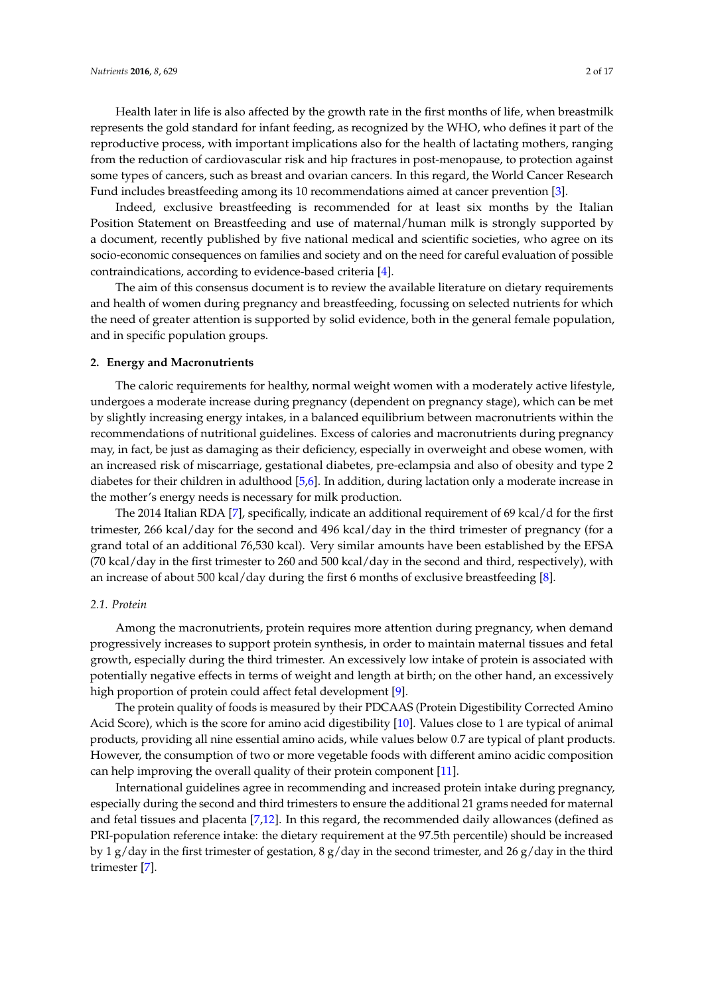Health later in life is also affected by the growth rate in the first months of life, when breastmilk represents the gold standard for infant feeding, as recognized by the WHO, who defines it part of the reproductive process, with important implications also for the health of lactating mothers, ranging from the reduction of cardiovascular risk and hip fractures in post-menopause, to protection against some types of cancers, such as breast and ovarian cancers. In this regard, the World Cancer Research Fund includes breastfeeding among its 10 recommendations aimed at cancer prevention [\[3\]](#page-11-2).

Indeed, exclusive breastfeeding is recommended for at least six months by the Italian Position Statement on Breastfeeding and use of maternal/human milk is strongly supported by a document, recently published by five national medical and scientific societies, who agree on its socio-economic consequences on families and society and on the need for careful evaluation of possible contraindications, according to evidence-based criteria [\[4\]](#page-11-3).

The aim of this consensus document is to review the available literature on dietary requirements and health of women during pregnancy and breastfeeding, focussing on selected nutrients for which the need of greater attention is supported by solid evidence, both in the general female population, and in specific population groups.

#### **2. Energy and Macronutrients**

The caloric requirements for healthy, normal weight women with a moderately active lifestyle, undergoes a moderate increase during pregnancy (dependent on pregnancy stage), which can be met by slightly increasing energy intakes, in a balanced equilibrium between macronutrients within the recommendations of nutritional guidelines. Excess of calories and macronutrients during pregnancy may, in fact, be just as damaging as their deficiency, especially in overweight and obese women, with an increased risk of miscarriage, gestational diabetes, pre-eclampsia and also of obesity and type 2 diabetes for their children in adulthood [\[5](#page-11-4)[,6\]](#page-12-0). In addition, during lactation only a moderate increase in the mother's energy needs is necessary for milk production.

The 2014 Italian RDA [\[7\]](#page-12-1), specifically, indicate an additional requirement of 69 kcal/d for the first trimester, 266 kcal/day for the second and 496 kcal/day in the third trimester of pregnancy (for a grand total of an additional 76,530 kcal). Very similar amounts have been established by the EFSA (70 kcal/day in the first trimester to 260 and 500 kcal/day in the second and third, respectively), with an increase of about 500 kcal/day during the first 6 months of exclusive breastfeeding [\[8\]](#page-12-2).

## *2.1. Protein*

Among the macronutrients, protein requires more attention during pregnancy, when demand progressively increases to support protein synthesis, in order to maintain maternal tissues and fetal growth, especially during the third trimester. An excessively low intake of protein is associated with potentially negative effects in terms of weight and length at birth; on the other hand, an excessively high proportion of protein could affect fetal development [\[9\]](#page-12-3).

The protein quality of foods is measured by their PDCAAS (Protein Digestibility Corrected Amino Acid Score), which is the score for amino acid digestibility [\[10\]](#page-12-4). Values close to 1 are typical of animal products, providing all nine essential amino acids, while values below 0.7 are typical of plant products. However, the consumption of two or more vegetable foods with different amino acidic composition can help improving the overall quality of their protein component [\[11\]](#page-12-5).

International guidelines agree in recommending and increased protein intake during pregnancy, especially during the second and third trimesters to ensure the additional 21 grams needed for maternal and fetal tissues and placenta [\[7](#page-12-1)[,12\]](#page-12-6). In this regard, the recommended daily allowances (defined as PRI-population reference intake: the dietary requirement at the 97.5th percentile) should be increased by 1 g/day in the first trimester of gestation, 8 g/day in the second trimester, and 26 g/day in the third trimester [\[7\]](#page-12-1).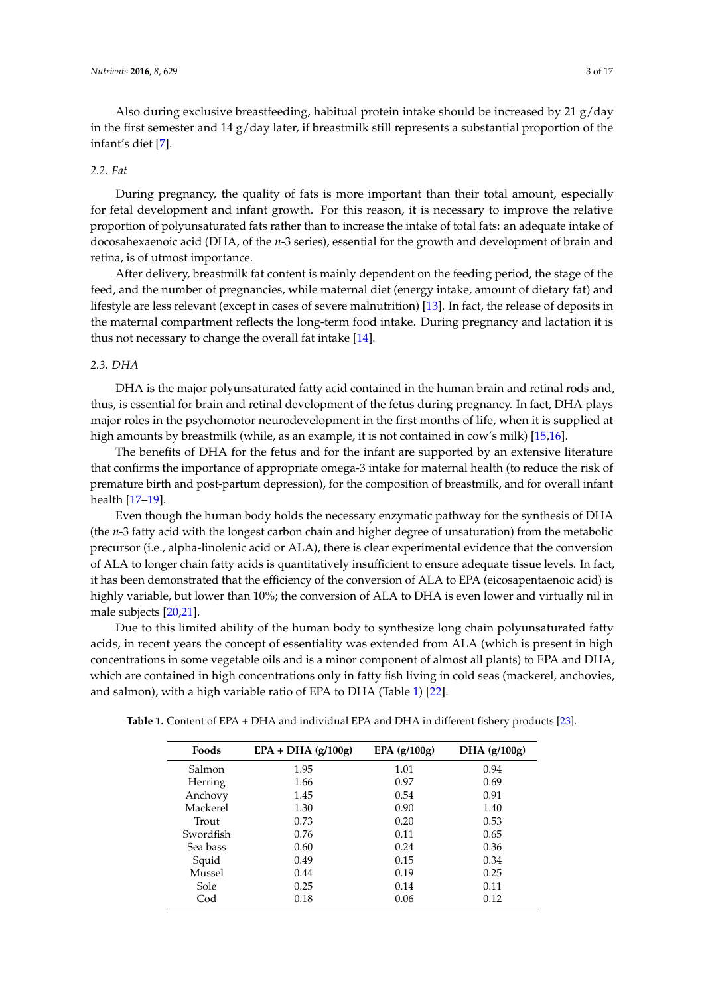Also during exclusive breastfeeding, habitual protein intake should be increased by 21  $g$ /day in the first semester and  $14 \text{ g/day}$  later, if breastmilk still represents a substantial proportion of the infant's diet [\[7\]](#page-12-1).

# *2.2. Fat*

During pregnancy, the quality of fats is more important than their total amount, especially for fetal development and infant growth. For this reason, it is necessary to improve the relative proportion of polyunsaturated fats rather than to increase the intake of total fats: an adequate intake of docosahexaenoic acid (DHA, of the *n*-3 series), essential for the growth and development of brain and retina, is of utmost importance.

After delivery, breastmilk fat content is mainly dependent on the feeding period, the stage of the feed, and the number of pregnancies, while maternal diet (energy intake, amount of dietary fat) and lifestyle are less relevant (except in cases of severe malnutrition) [\[13\]](#page-12-7). In fact, the release of deposits in the maternal compartment reflects the long-term food intake. During pregnancy and lactation it is thus not necessary to change the overall fat intake [\[14\]](#page-12-8).

#### *2.3. DHA*

DHA is the major polyunsaturated fatty acid contained in the human brain and retinal rods and, thus, is essential for brain and retinal development of the fetus during pregnancy. In fact, DHA plays major roles in the psychomotor neurodevelopment in the first months of life, when it is supplied at high amounts by breastmilk (while, as an example, it is not contained in cow's milk) [\[15,](#page-12-9)[16\]](#page-12-10).

The benefits of DHA for the fetus and for the infant are supported by an extensive literature that confirms the importance of appropriate omega-3 intake for maternal health (to reduce the risk of premature birth and post-partum depression), for the composition of breastmilk, and for overall infant health [\[17–](#page-12-11)[19\]](#page-12-12).

Even though the human body holds the necessary enzymatic pathway for the synthesis of DHA (the *n*-3 fatty acid with the longest carbon chain and higher degree of unsaturation) from the metabolic precursor (i.e., alpha-linolenic acid or ALA), there is clear experimental evidence that the conversion of ALA to longer chain fatty acids is quantitatively insufficient to ensure adequate tissue levels. In fact, it has been demonstrated that the efficiency of the conversion of ALA to EPA (eicosapentaenoic acid) is highly variable, but lower than 10%; the conversion of ALA to DHA is even lower and virtually nil in male subjects [\[20](#page-12-13)[,21\]](#page-12-14).

Due to this limited ability of the human body to synthesize long chain polyunsaturated fatty acids, in recent years the concept of essentiality was extended from ALA (which is present in high concentrations in some vegetable oils and is a minor component of almost all plants) to EPA and DHA, which are contained in high concentrations only in fatty fish living in cold seas (mackerel, anchovies, and salmon), with a high variable ratio of EPA to DHA (Table [1\)](#page-2-0) [\[22\]](#page-12-15).

|  | <b>Foods</b> | $EPA + DHA$ (g/100g) | EPA $(g/100g)$ | DHA (g/100g) |  |
|--|--------------|----------------------|----------------|--------------|--|
|  | Salmon       | 1.95                 | 1.01           | 0.94         |  |
|  | Herring      | 1.66                 | 0.97           | 0.69         |  |
|  | Anchovy      | 1.45                 | 0.54           | 0.91         |  |
|  | Mackerel     | 1.30                 | 0.90           | 1.40         |  |
|  | Trout        | 0.73                 | 0.20           | 0.53         |  |
|  | Swordfish    | 0.76                 | 0.11           | 0.65         |  |
|  | Sea bass     | 0.60                 | 0.24           | 0.36         |  |
|  | Squid        | 0.49                 | 0.15           | 0.34         |  |
|  | Mussel       | 0.44                 | 0.19           | 0.25         |  |
|  | Sole         | 0.25                 | 0.14           | 0.11         |  |
|  | Cod          | 0.18                 | 0.06           | 0.12         |  |
|  |              |                      |                |              |  |

<span id="page-2-0"></span>**Table 1.** Content of EPA + DHA and individual EPA and DHA in different fishery products [\[23\]](#page-12-16).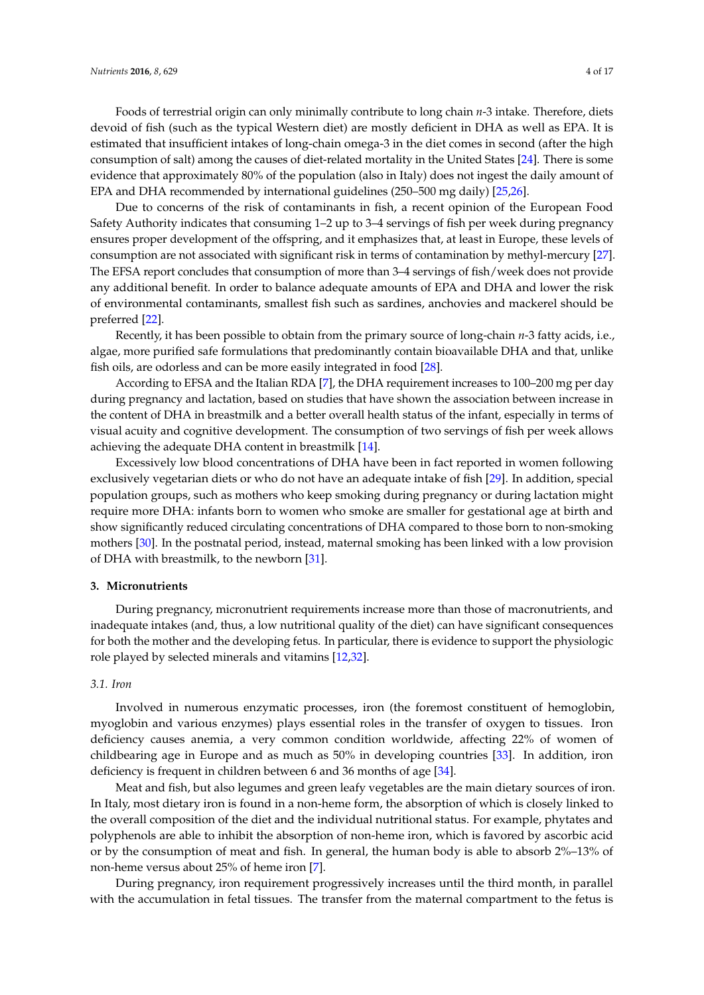Foods of terrestrial origin can only minimally contribute to long chain *n*-3 intake. Therefore, diets devoid of fish (such as the typical Western diet) are mostly deficient in DHA as well as EPA. It is estimated that insufficient intakes of long-chain omega-3 in the diet comes in second (after the high consumption of salt) among the causes of diet-related mortality in the United States [\[24\]](#page-12-17). There is some evidence that approximately 80% of the population (also in Italy) does not ingest the daily amount of EPA and DHA recommended by international guidelines (250–500 mg daily) [\[25,](#page-12-18)[26\]](#page-12-19).

Due to concerns of the risk of contaminants in fish, a recent opinion of the European Food Safety Authority indicates that consuming 1–2 up to 3–4 servings of fish per week during pregnancy ensures proper development of the offspring, and it emphasizes that, at least in Europe, these levels of consumption are not associated with significant risk in terms of contamination by methyl-mercury [\[27\]](#page-12-20). The EFSA report concludes that consumption of more than 3–4 servings of fish/week does not provide any additional benefit. In order to balance adequate amounts of EPA and DHA and lower the risk of environmental contaminants, smallest fish such as sardines, anchovies and mackerel should be preferred [\[22\]](#page-12-15).

Recently, it has been possible to obtain from the primary source of long-chain *n*-3 fatty acids, i.e., algae, more purified safe formulations that predominantly contain bioavailable DHA and that, unlike fish oils, are odorless and can be more easily integrated in food [\[28\]](#page-12-21).

According to EFSA and the Italian RDA [\[7\]](#page-12-1), the DHA requirement increases to 100–200 mg per day during pregnancy and lactation, based on studies that have shown the association between increase in the content of DHA in breastmilk and a better overall health status of the infant, especially in terms of visual acuity and cognitive development. The consumption of two servings of fish per week allows achieving the adequate DHA content in breastmilk [\[14\]](#page-12-8).

Excessively low blood concentrations of DHA have been in fact reported in women following exclusively vegetarian diets or who do not have an adequate intake of fish [\[29\]](#page-13-0). In addition, special population groups, such as mothers who keep smoking during pregnancy or during lactation might require more DHA: infants born to women who smoke are smaller for gestational age at birth and show significantly reduced circulating concentrations of DHA compared to those born to non-smoking mothers [\[30\]](#page-13-1). In the postnatal period, instead, maternal smoking has been linked with a low provision of DHA with breastmilk, to the newborn [\[31\]](#page-13-2).

## **3. Micronutrients**

During pregnancy, micronutrient requirements increase more than those of macronutrients, and inadequate intakes (and, thus, a low nutritional quality of the diet) can have significant consequences for both the mother and the developing fetus. In particular, there is evidence to support the physiologic role played by selected minerals and vitamins [\[12](#page-12-6)[,32\]](#page-13-3).

## *3.1. Iron*

Involved in numerous enzymatic processes, iron (the foremost constituent of hemoglobin, myoglobin and various enzymes) plays essential roles in the transfer of oxygen to tissues. Iron deficiency causes anemia, a very common condition worldwide, affecting 22% of women of childbearing age in Europe and as much as 50% in developing countries [\[33\]](#page-13-4). In addition, iron deficiency is frequent in children between 6 and 36 months of age [\[34\]](#page-13-5).

Meat and fish, but also legumes and green leafy vegetables are the main dietary sources of iron. In Italy, most dietary iron is found in a non-heme form, the absorption of which is closely linked to the overall composition of the diet and the individual nutritional status. For example, phytates and polyphenols are able to inhibit the absorption of non-heme iron, which is favored by ascorbic acid or by the consumption of meat and fish. In general, the human body is able to absorb 2%–13% of non-heme versus about 25% of heme iron [\[7\]](#page-12-1).

During pregnancy, iron requirement progressively increases until the third month, in parallel with the accumulation in fetal tissues. The transfer from the maternal compartment to the fetus is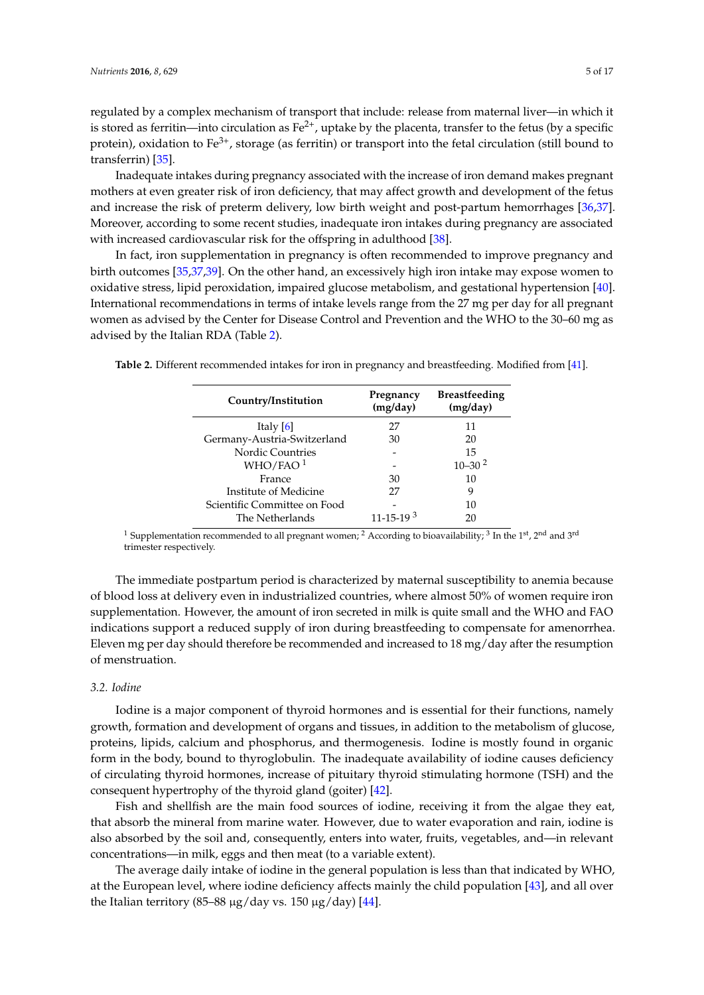regulated by a complex mechanism of transport that include: release from maternal liver—in which it is stored as ferritin—into circulation as  $Fe^{2+}$ , uptake by the placenta, transfer to the fetus (by a specific protein), oxidation to  $Fe^{3+}$ , storage (as ferritin) or transport into the fetal circulation (still bound to transferrin) [\[35\]](#page-13-6).

Inadequate intakes during pregnancy associated with the increase of iron demand makes pregnant mothers at even greater risk of iron deficiency, that may affect growth and development of the fetus and increase the risk of preterm delivery, low birth weight and post-partum hemorrhages [\[36,](#page-13-7)[37\]](#page-13-8). Moreover, according to some recent studies, inadequate iron intakes during pregnancy are associated with increased cardiovascular risk for the offspring in adulthood [\[38\]](#page-13-9).

In fact, iron supplementation in pregnancy is often recommended to improve pregnancy and birth outcomes [\[35](#page-13-6)[,37](#page-13-8)[,39\]](#page-13-10). On the other hand, an excessively high iron intake may expose women to oxidative stress, lipid peroxidation, impaired glucose metabolism, and gestational hypertension [\[40\]](#page-13-11). International recommendations in terms of intake levels range from the 27 mg per day for all pregnant women as advised by the Center for Disease Control and Prevention and the WHO to the 30–60 mg as advised by the Italian RDA (Table [2\)](#page-4-0).

<span id="page-4-0"></span>**Table 2.** Different recommended intakes for iron in pregnancy and breastfeeding. Modified from [\[41\]](#page-13-12).

| Country/Institution          | Pregnancy<br>(mg/day) | <b>Breastfeeding</b><br>(mg/day) |
|------------------------------|-----------------------|----------------------------------|
| Italy $[6]$                  | 27                    | 11                               |
| Germany-Austria-Switzerland  | 30                    | 20                               |
| <b>Nordic Countries</b>      |                       | 15                               |
| WHO/FAO <sup>1</sup>         |                       | $10 - 30^{2}$                    |
| France                       | 30                    | 10                               |
| Institute of Medicine        | 27                    | 9                                |
| Scientific Committee on Food |                       | 10                               |
| The Netherlands              | $11 - 15 - 19^{3}$    | 20                               |
|                              |                       |                                  |

<sup>1</sup> Supplementation recommended to all pregnant women; <sup>2</sup> According to bioavailability; <sup>3</sup> In the 1<sup>st</sup>, 2<sup>nd</sup> and 3<sup>rd</sup> trimester respectively.

The immediate postpartum period is characterized by maternal susceptibility to anemia because of blood loss at delivery even in industrialized countries, where almost 50% of women require iron supplementation. However, the amount of iron secreted in milk is quite small and the WHO and FAO indications support a reduced supply of iron during breastfeeding to compensate for amenorrhea. Eleven mg per day should therefore be recommended and increased to 18 mg/day after the resumption of menstruation.

## *3.2. Iodine*

Iodine is a major component of thyroid hormones and is essential for their functions, namely growth, formation and development of organs and tissues, in addition to the metabolism of glucose, proteins, lipids, calcium and phosphorus, and thermogenesis. Iodine is mostly found in organic form in the body, bound to thyroglobulin. The inadequate availability of iodine causes deficiency of circulating thyroid hormones, increase of pituitary thyroid stimulating hormone (TSH) and the consequent hypertrophy of the thyroid gland (goiter) [\[42\]](#page-13-13).

Fish and shellfish are the main food sources of iodine, receiving it from the algae they eat, that absorb the mineral from marine water. However, due to water evaporation and rain, iodine is also absorbed by the soil and, consequently, enters into water, fruits, vegetables, and—in relevant concentrations—in milk, eggs and then meat (to a variable extent).

The average daily intake of iodine in the general population is less than that indicated by WHO, at the European level, where iodine deficiency affects mainly the child population [\[43\]](#page-13-14), and all over the Italian territory (85–88  $\mu$ g/day vs. 150  $\mu$ g/day) [\[44\]](#page-13-15).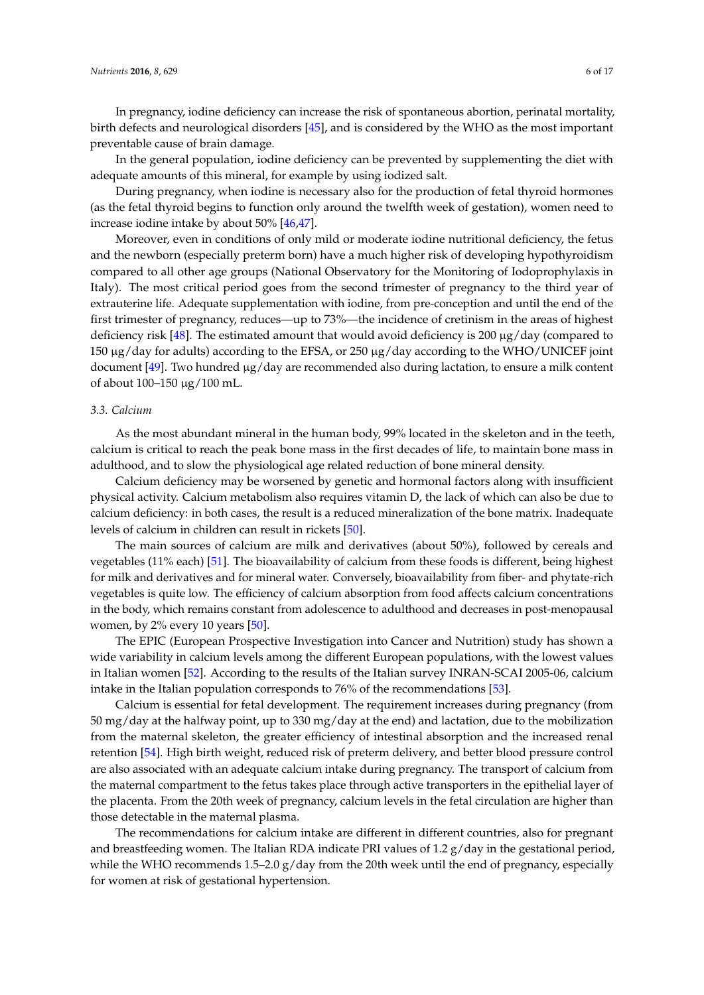*Nutrients* **2016**, *8*, 629 6 of 17

In pregnancy, iodine deficiency can increase the risk of spontaneous abortion, perinatal mortality, birth defects and neurological disorders [\[45\]](#page-13-16), and is considered by the WHO as the most important preventable cause of brain damage.

In the general population, iodine deficiency can be prevented by supplementing the diet with adequate amounts of this mineral, for example by using iodized salt.

During pregnancy, when iodine is necessary also for the production of fetal thyroid hormones (as the fetal thyroid begins to function only around the twelfth week of gestation), women need to increase iodine intake by about 50% [\[46,](#page-13-17)[47\]](#page-13-18).

Moreover, even in conditions of only mild or moderate iodine nutritional deficiency, the fetus and the newborn (especially preterm born) have a much higher risk of developing hypothyroidism compared to all other age groups (National Observatory for the Monitoring of Iodoprophylaxis in Italy). The most critical period goes from the second trimester of pregnancy to the third year of extrauterine life. Adequate supplementation with iodine, from pre-conception and until the end of the first trimester of pregnancy, reduces—up to 73%—the incidence of cretinism in the areas of highest deficiency risk [\[48\]](#page-14-0). The estimated amount that would avoid deficiency is 200  $\mu$ g/day (compared to 150 µg/day for adults) according to the EFSA, or 250 µg/day according to the WHO/UNICEF joint document [\[49\]](#page-14-1). Two hundred µg/day are recommended also during lactation, to ensure a milk content of about 100–150 µg/100 mL.

#### *3.3. Calcium*

As the most abundant mineral in the human body, 99% located in the skeleton and in the teeth, calcium is critical to reach the peak bone mass in the first decades of life, to maintain bone mass in adulthood, and to slow the physiological age related reduction of bone mineral density.

Calcium deficiency may be worsened by genetic and hormonal factors along with insufficient physical activity. Calcium metabolism also requires vitamin D, the lack of which can also be due to calcium deficiency: in both cases, the result is a reduced mineralization of the bone matrix. Inadequate levels of calcium in children can result in rickets [\[50\]](#page-14-2).

The main sources of calcium are milk and derivatives (about 50%), followed by cereals and vegetables (11% each) [\[51\]](#page-14-3). The bioavailability of calcium from these foods is different, being highest for milk and derivatives and for mineral water. Conversely, bioavailability from fiber- and phytate-rich vegetables is quite low. The efficiency of calcium absorption from food affects calcium concentrations in the body, which remains constant from adolescence to adulthood and decreases in post-menopausal women, by 2% every 10 years [\[50\]](#page-14-2).

The EPIC (European Prospective Investigation into Cancer and Nutrition) study has shown a wide variability in calcium levels among the different European populations, with the lowest values in Italian women [\[52\]](#page-14-4). According to the results of the Italian survey INRAN-SCAI 2005-06, calcium intake in the Italian population corresponds to 76% of the recommendations [\[53\]](#page-14-5).

Calcium is essential for fetal development. The requirement increases during pregnancy (from 50 mg/day at the halfway point, up to 330 mg/day at the end) and lactation, due to the mobilization from the maternal skeleton, the greater efficiency of intestinal absorption and the increased renal retention [\[54\]](#page-14-6). High birth weight, reduced risk of preterm delivery, and better blood pressure control are also associated with an adequate calcium intake during pregnancy. The transport of calcium from the maternal compartment to the fetus takes place through active transporters in the epithelial layer of the placenta. From the 20th week of pregnancy, calcium levels in the fetal circulation are higher than those detectable in the maternal plasma.

The recommendations for calcium intake are different in different countries, also for pregnant and breastfeeding women. The Italian RDA indicate PRI values of 1.2 g/day in the gestational period, while the WHO recommends  $1.5-2.0$  g/day from the 20th week until the end of pregnancy, especially for women at risk of gestational hypertension.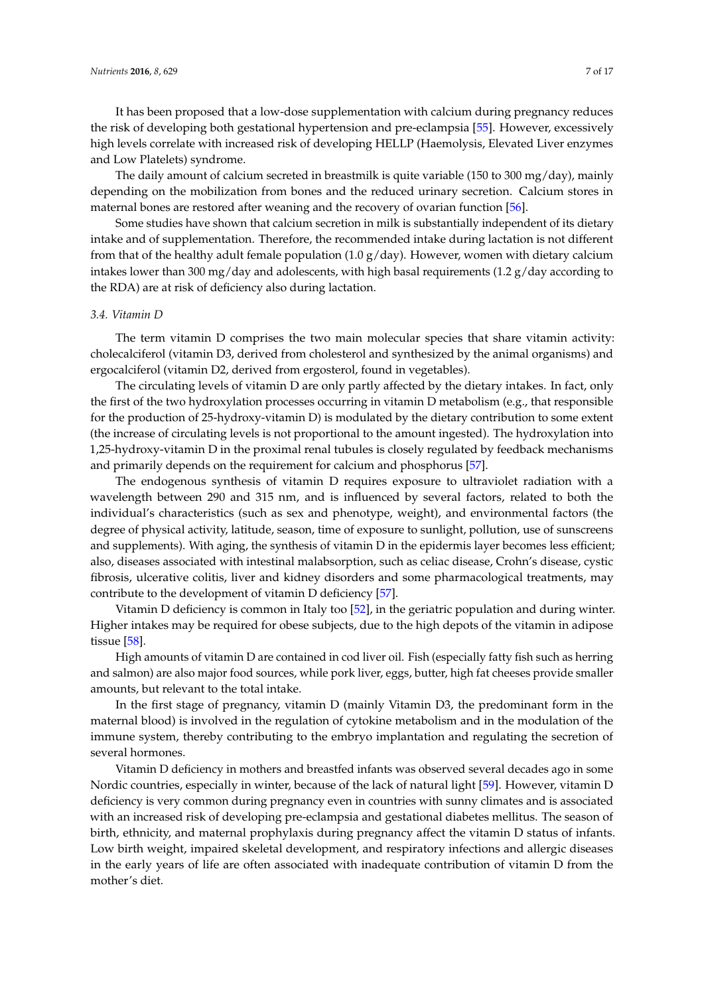It has been proposed that a low-dose supplementation with calcium during pregnancy reduces the risk of developing both gestational hypertension and pre-eclampsia [\[55\]](#page-14-7). However, excessively high levels correlate with increased risk of developing HELLP (Haemolysis, Elevated Liver enzymes and Low Platelets) syndrome.

The daily amount of calcium secreted in breastmilk is quite variable (150 to 300 mg/day), mainly depending on the mobilization from bones and the reduced urinary secretion. Calcium stores in maternal bones are restored after weaning and the recovery of ovarian function [\[56\]](#page-14-8).

Some studies have shown that calcium secretion in milk is substantially independent of its dietary intake and of supplementation. Therefore, the recommended intake during lactation is not different from that of the healthy adult female population (1.0  $g$ /day). However, women with dietary calcium intakes lower than 300 mg/day and adolescents, with high basal requirements (1.2 g/day according to the RDA) are at risk of deficiency also during lactation.

#### *3.4. Vitamin D*

The term vitamin D comprises the two main molecular species that share vitamin activity: cholecalciferol (vitamin D3, derived from cholesterol and synthesized by the animal organisms) and ergocalciferol (vitamin D2, derived from ergosterol, found in vegetables).

The circulating levels of vitamin D are only partly affected by the dietary intakes. In fact, only the first of the two hydroxylation processes occurring in vitamin D metabolism (e.g., that responsible for the production of 25-hydroxy-vitamin D) is modulated by the dietary contribution to some extent (the increase of circulating levels is not proportional to the amount ingested). The hydroxylation into 1,25-hydroxy-vitamin D in the proximal renal tubules is closely regulated by feedback mechanisms and primarily depends on the requirement for calcium and phosphorus [\[57\]](#page-14-9).

The endogenous synthesis of vitamin D requires exposure to ultraviolet radiation with a wavelength between 290 and 315 nm, and is influenced by several factors, related to both the individual's characteristics (such as sex and phenotype, weight), and environmental factors (the degree of physical activity, latitude, season, time of exposure to sunlight, pollution, use of sunscreens and supplements). With aging, the synthesis of vitamin D in the epidermis layer becomes less efficient; also, diseases associated with intestinal malabsorption, such as celiac disease, Crohn's disease, cystic fibrosis, ulcerative colitis, liver and kidney disorders and some pharmacological treatments, may contribute to the development of vitamin D deficiency [\[57\]](#page-14-9).

Vitamin D deficiency is common in Italy too [\[52\]](#page-14-4), in the geriatric population and during winter. Higher intakes may be required for obese subjects, due to the high depots of the vitamin in adipose tissue [\[58\]](#page-14-10).

High amounts of vitamin D are contained in cod liver oil. Fish (especially fatty fish such as herring and salmon) are also major food sources, while pork liver, eggs, butter, high fat cheeses provide smaller amounts, but relevant to the total intake.

In the first stage of pregnancy, vitamin D (mainly Vitamin D3, the predominant form in the maternal blood) is involved in the regulation of cytokine metabolism and in the modulation of the immune system, thereby contributing to the embryo implantation and regulating the secretion of several hormones.

Vitamin D deficiency in mothers and breastfed infants was observed several decades ago in some Nordic countries, especially in winter, because of the lack of natural light [\[59\]](#page-14-11). However, vitamin D deficiency is very common during pregnancy even in countries with sunny climates and is associated with an increased risk of developing pre-eclampsia and gestational diabetes mellitus. The season of birth, ethnicity, and maternal prophylaxis during pregnancy affect the vitamin D status of infants. Low birth weight, impaired skeletal development, and respiratory infections and allergic diseases in the early years of life are often associated with inadequate contribution of vitamin D from the mother's diet.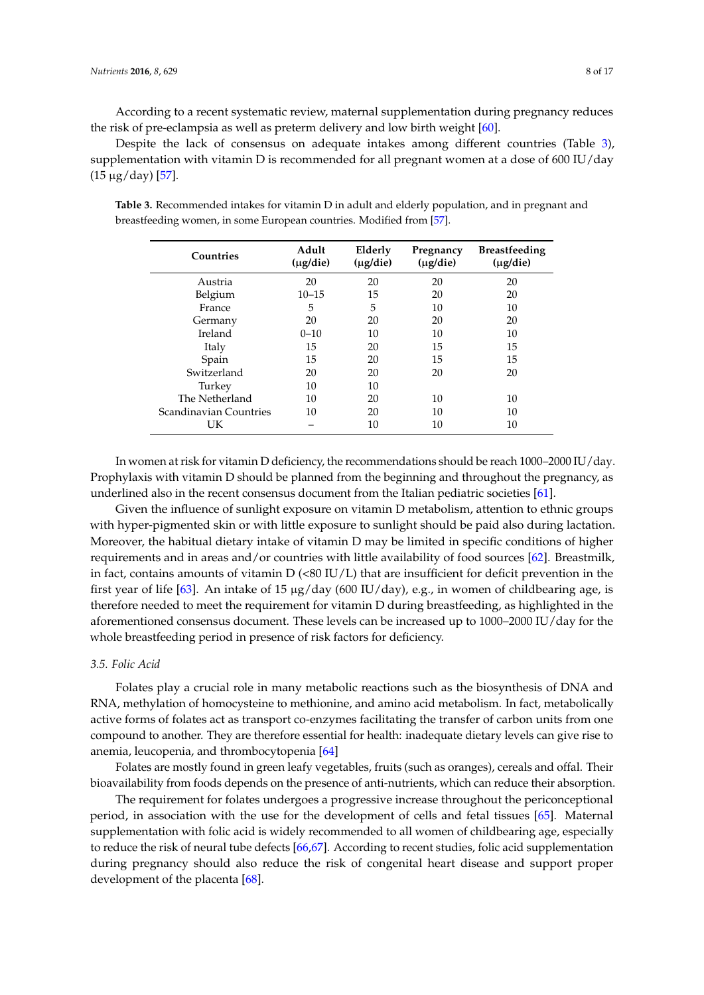According to a recent systematic review, maternal supplementation during pregnancy reduces the risk of pre-eclampsia as well as preterm delivery and low birth weight [\[60\]](#page-14-12).

Despite the lack of consensus on adequate intakes among different countries (Table [3\)](#page-7-0), supplementation with vitamin D is recommended for all pregnant women at a dose of 600 IU/day (15 µg/day) [\[57\]](#page-14-9).

| Countries              | Adult<br>$(\mu g/die)$ | Elderly<br>$(\mu g/die)$ | Pregnancy<br>$(\mu$ g/die) | <b>Breastfeeding</b><br>$(\mu g/die)$ |
|------------------------|------------------------|--------------------------|----------------------------|---------------------------------------|
| Austria                | 20                     | 20                       | 20                         | 20                                    |
| Belgium                | $10 - 15$              | 15                       | 20                         | 20                                    |
| France                 | 5                      | 5                        | 10                         | 10                                    |
| Germany                | 20                     | 20                       | 20                         | 20                                    |
| Ireland                | $0 - 10$               | 10                       | 10                         | 10                                    |
| Italy                  | 15                     | 20                       | 15                         | 15                                    |
| Spain                  | 15                     | 20                       | 15                         | 15                                    |
| Switzerland            | 20                     | 20                       | 20                         | 20                                    |
| Turkey                 | 10                     | 10                       |                            |                                       |
| The Netherland         | 10                     | 20                       | 10                         | 10                                    |
| Scandinavian Countries | 10                     | 20                       | 10                         | 10                                    |
| UK                     |                        | 10                       | 10                         | 10                                    |

<span id="page-7-0"></span>**Table 3.** Recommended intakes for vitamin D in adult and elderly population, and in pregnant and breastfeeding women, in some European countries. Modified from [\[57\]](#page-14-9).

In women at risk for vitamin D deficiency, the recommendations should be reach 1000–2000 IU/day. Prophylaxis with vitamin D should be planned from the beginning and throughout the pregnancy, as underlined also in the recent consensus document from the Italian pediatric societies [\[61\]](#page-14-13).

Given the influence of sunlight exposure on vitamin D metabolism, attention to ethnic groups with hyper-pigmented skin or with little exposure to sunlight should be paid also during lactation. Moreover, the habitual dietary intake of vitamin D may be limited in specific conditions of higher requirements and in areas and/or countries with little availability of food sources [\[62\]](#page-14-14). Breastmilk, in fact, contains amounts of vitamin  $D$  (<80 IU/L) that are insufficient for deficit prevention in the first year of life [\[63\]](#page-14-15). An intake of 15  $\mu$ g/day (600 IU/day), e.g., in women of childbearing age, is therefore needed to meet the requirement for vitamin D during breastfeeding, as highlighted in the aforementioned consensus document. These levels can be increased up to 1000–2000 IU/day for the whole breastfeeding period in presence of risk factors for deficiency.

## *3.5. Folic Acid*

Folates play a crucial role in many metabolic reactions such as the biosynthesis of DNA and RNA, methylation of homocysteine to methionine, and amino acid metabolism. In fact, metabolically active forms of folates act as transport co-enzymes facilitating the transfer of carbon units from one compound to another. They are therefore essential for health: inadequate dietary levels can give rise to anemia, leucopenia, and thrombocytopenia [\[64\]](#page-14-16)

Folates are mostly found in green leafy vegetables, fruits (such as oranges), cereals and offal. Their bioavailability from foods depends on the presence of anti-nutrients, which can reduce their absorption.

The requirement for folates undergoes a progressive increase throughout the periconceptional period, in association with the use for the development of cells and fetal tissues [\[65\]](#page-14-17). Maternal supplementation with folic acid is widely recommended to all women of childbearing age, especially to reduce the risk of neural tube defects [\[66](#page-14-18)[,67\]](#page-14-19). According to recent studies, folic acid supplementation during pregnancy should also reduce the risk of congenital heart disease and support proper development of the placenta [\[68\]](#page-14-20).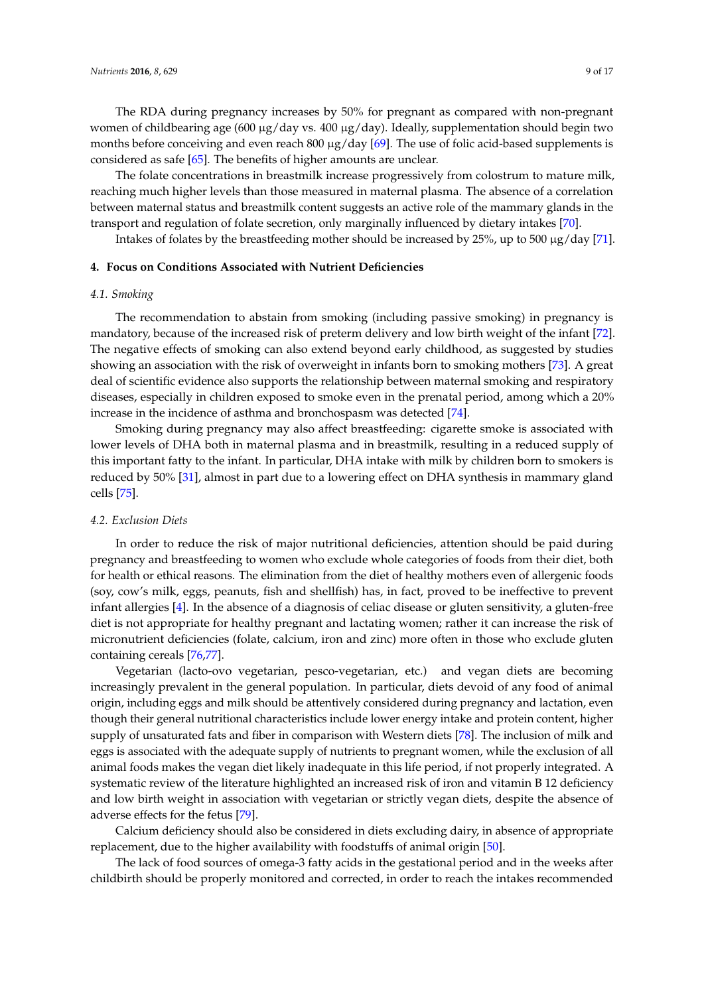The RDA during pregnancy increases by 50% for pregnant as compared with non-pregnant women of childbearing age (600  $\mu$ g/day vs. 400  $\mu$ g/day). Ideally, supplementation should begin two months before conceiving and even reach 800  $\mu$ g/day [\[69\]](#page-15-0). The use of folic acid-based supplements is considered as safe [\[65\]](#page-14-17). The benefits of higher amounts are unclear.

The folate concentrations in breastmilk increase progressively from colostrum to mature milk, reaching much higher levels than those measured in maternal plasma. The absence of a correlation between maternal status and breastmilk content suggests an active role of the mammary glands in the transport and regulation of folate secretion, only marginally influenced by dietary intakes [\[70\]](#page-15-1).

Intakes of folates by the breastfeeding mother should be increased by 25%, up to 500 µg/day [\[71\]](#page-15-2).

## **4. Focus on Conditions Associated with Nutrient Deficiencies**

## *4.1. Smoking*

The recommendation to abstain from smoking (including passive smoking) in pregnancy is mandatory, because of the increased risk of preterm delivery and low birth weight of the infant [\[72\]](#page-15-3). The negative effects of smoking can also extend beyond early childhood, as suggested by studies showing an association with the risk of overweight in infants born to smoking mothers [\[73\]](#page-15-4). A great deal of scientific evidence also supports the relationship between maternal smoking and respiratory diseases, especially in children exposed to smoke even in the prenatal period, among which a 20% increase in the incidence of asthma and bronchospasm was detected [\[74\]](#page-15-5).

Smoking during pregnancy may also affect breastfeeding: cigarette smoke is associated with lower levels of DHA both in maternal plasma and in breastmilk, resulting in a reduced supply of this important fatty to the infant. In particular, DHA intake with milk by children born to smokers is reduced by 50% [\[31\]](#page-13-2), almost in part due to a lowering effect on DHA synthesis in mammary gland cells [\[75\]](#page-15-6).

## *4.2. Exclusion Diets*

In order to reduce the risk of major nutritional deficiencies, attention should be paid during pregnancy and breastfeeding to women who exclude whole categories of foods from their diet, both for health or ethical reasons. The elimination from the diet of healthy mothers even of allergenic foods (soy, cow's milk, eggs, peanuts, fish and shellfish) has, in fact, proved to be ineffective to prevent infant allergies [\[4\]](#page-11-3). In the absence of a diagnosis of celiac disease or gluten sensitivity, a gluten-free diet is not appropriate for healthy pregnant and lactating women; rather it can increase the risk of micronutrient deficiencies (folate, calcium, iron and zinc) more often in those who exclude gluten containing cereals [\[76](#page-15-7)[,77\]](#page-15-8).

Vegetarian (lacto-ovo vegetarian, pesco-vegetarian, etc.) and vegan diets are becoming increasingly prevalent in the general population. In particular, diets devoid of any food of animal origin, including eggs and milk should be attentively considered during pregnancy and lactation, even though their general nutritional characteristics include lower energy intake and protein content, higher supply of unsaturated fats and fiber in comparison with Western diets [\[78\]](#page-15-9). The inclusion of milk and eggs is associated with the adequate supply of nutrients to pregnant women, while the exclusion of all animal foods makes the vegan diet likely inadequate in this life period, if not properly integrated. A systematic review of the literature highlighted an increased risk of iron and vitamin B 12 deficiency and low birth weight in association with vegetarian or strictly vegan diets, despite the absence of adverse effects for the fetus [\[79\]](#page-15-10).

Calcium deficiency should also be considered in diets excluding dairy, in absence of appropriate replacement, due to the higher availability with foodstuffs of animal origin [\[50\]](#page-14-2).

The lack of food sources of omega-3 fatty acids in the gestational period and in the weeks after childbirth should be properly monitored and corrected, in order to reach the intakes recommended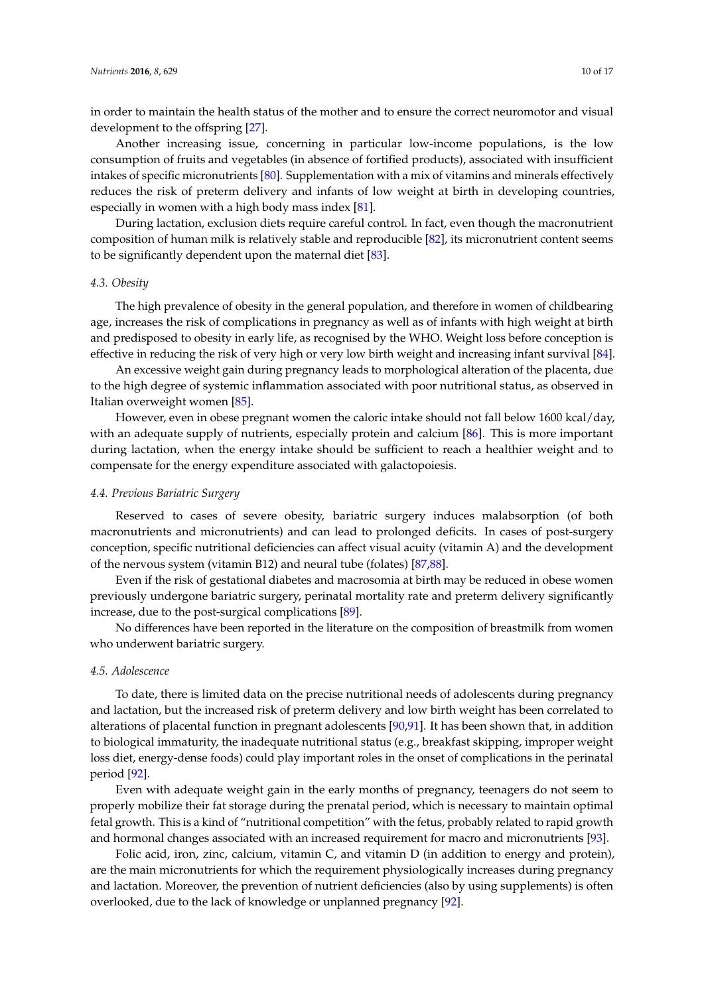in order to maintain the health status of the mother and to ensure the correct neuromotor and visual development to the offspring [\[27\]](#page-12-20).

Another increasing issue, concerning in particular low-income populations, is the low consumption of fruits and vegetables (in absence of fortified products), associated with insufficient intakes of specific micronutrients [\[80\]](#page-15-11). Supplementation with a mix of vitamins and minerals effectively reduces the risk of preterm delivery and infants of low weight at birth in developing countries, especially in women with a high body mass index [\[81\]](#page-15-12).

During lactation, exclusion diets require careful control. In fact, even though the macronutrient composition of human milk is relatively stable and reproducible [\[82\]](#page-15-13), its micronutrient content seems to be significantly dependent upon the maternal diet [\[83\]](#page-15-14).

## *4.3. Obesity*

The high prevalence of obesity in the general population, and therefore in women of childbearing age, increases the risk of complications in pregnancy as well as of infants with high weight at birth and predisposed to obesity in early life, as recognised by the WHO. Weight loss before conception is effective in reducing the risk of very high or very low birth weight and increasing infant survival [\[84\]](#page-15-15).

An excessive weight gain during pregnancy leads to morphological alteration of the placenta, due to the high degree of systemic inflammation associated with poor nutritional status, as observed in Italian overweight women [\[85\]](#page-15-16).

However, even in obese pregnant women the caloric intake should not fall below 1600 kcal/day, with an adequate supply of nutrients, especially protein and calcium [\[86\]](#page-15-17). This is more important during lactation, when the energy intake should be sufficient to reach a healthier weight and to compensate for the energy expenditure associated with galactopoiesis.

#### *4.4. Previous Bariatric Surgery*

Reserved to cases of severe obesity, bariatric surgery induces malabsorption (of both macronutrients and micronutrients) and can lead to prolonged deficits. In cases of post-surgery conception, specific nutritional deficiencies can affect visual acuity (vitamin A) and the development of the nervous system (vitamin B12) and neural tube (folates) [\[87,](#page-15-18)[88\]](#page-15-19).

Even if the risk of gestational diabetes and macrosomia at birth may be reduced in obese women previously undergone bariatric surgery, perinatal mortality rate and preterm delivery significantly increase, due to the post-surgical complications [\[89\]](#page-16-0).

No differences have been reported in the literature on the composition of breastmilk from women who underwent bariatric surgery.

#### *4.5. Adolescence*

To date, there is limited data on the precise nutritional needs of adolescents during pregnancy and lactation, but the increased risk of preterm delivery and low birth weight has been correlated to alterations of placental function in pregnant adolescents [\[90](#page-16-1)[,91\]](#page-16-2). It has been shown that, in addition to biological immaturity, the inadequate nutritional status (e.g., breakfast skipping, improper weight loss diet, energy-dense foods) could play important roles in the onset of complications in the perinatal period [\[92\]](#page-16-3).

Even with adequate weight gain in the early months of pregnancy, teenagers do not seem to properly mobilize their fat storage during the prenatal period, which is necessary to maintain optimal fetal growth. This is a kind of "nutritional competition" with the fetus, probably related to rapid growth and hormonal changes associated with an increased requirement for macro and micronutrients [\[93\]](#page-16-4).

Folic acid, iron, zinc, calcium, vitamin C, and vitamin D (in addition to energy and protein), are the main micronutrients for which the requirement physiologically increases during pregnancy and lactation. Moreover, the prevention of nutrient deficiencies (also by using supplements) is often overlooked, due to the lack of knowledge or unplanned pregnancy [\[92\]](#page-16-3).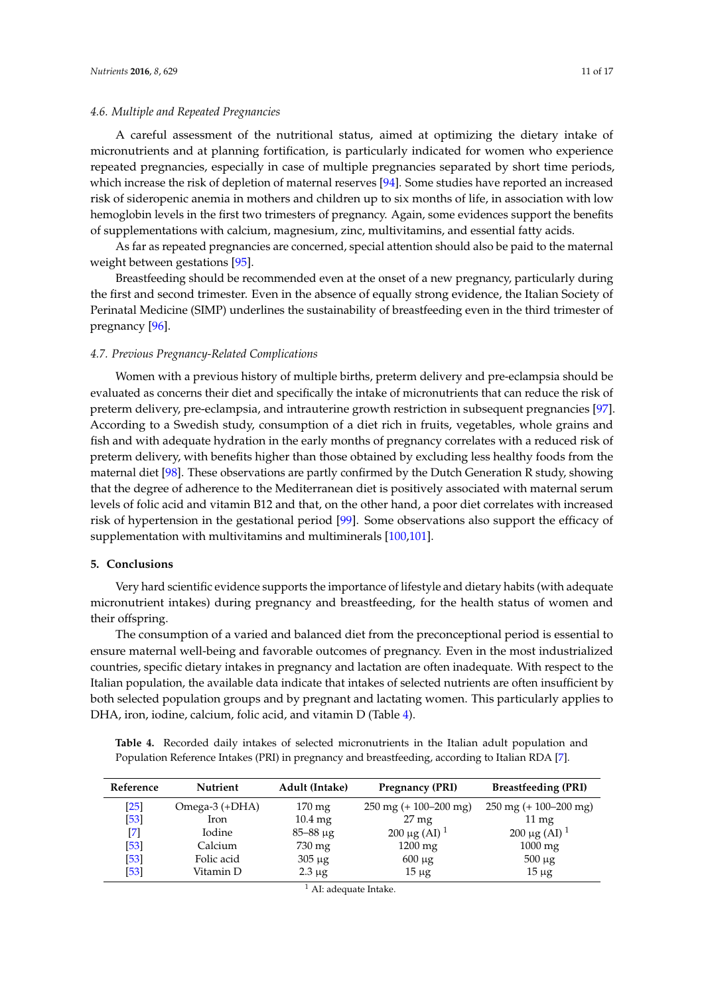## *4.6. Multiple and Repeated Pregnancies*

A careful assessment of the nutritional status, aimed at optimizing the dietary intake of micronutrients and at planning fortification, is particularly indicated for women who experience repeated pregnancies, especially in case of multiple pregnancies separated by short time periods, which increase the risk of depletion of maternal reserves [\[94\]](#page-16-5). Some studies have reported an increased risk of sideropenic anemia in mothers and children up to six months of life, in association with low hemoglobin levels in the first two trimesters of pregnancy. Again, some evidences support the benefits of supplementations with calcium, magnesium, zinc, multivitamins, and essential fatty acids.

As far as repeated pregnancies are concerned, special attention should also be paid to the maternal weight between gestations [\[95\]](#page-16-6).

Breastfeeding should be recommended even at the onset of a new pregnancy, particularly during the first and second trimester. Even in the absence of equally strong evidence, the Italian Society of Perinatal Medicine (SIMP) underlines the sustainability of breastfeeding even in the third trimester of pregnancy [\[96\]](#page-16-7).

#### *4.7. Previous Pregnancy-Related Complications*

Women with a previous history of multiple births, preterm delivery and pre-eclampsia should be evaluated as concerns their diet and specifically the intake of micronutrients that can reduce the risk of preterm delivery, pre-eclampsia, and intrauterine growth restriction in subsequent pregnancies [\[97\]](#page-16-8). According to a Swedish study, consumption of a diet rich in fruits, vegetables, whole grains and fish and with adequate hydration in the early months of pregnancy correlates with a reduced risk of preterm delivery, with benefits higher than those obtained by excluding less healthy foods from the maternal diet [\[98\]](#page-16-9). These observations are partly confirmed by the Dutch Generation R study, showing that the degree of adherence to the Mediterranean diet is positively associated with maternal serum levels of folic acid and vitamin B12 and that, on the other hand, a poor diet correlates with increased risk of hypertension in the gestational period [\[99\]](#page-16-10). Some observations also support the efficacy of supplementation with multivitamins and multiminerals [\[100,](#page-16-11)[101\]](#page-16-12).

# **5. Conclusions**

Very hard scientific evidence supports the importance of lifestyle and dietary habits (with adequate micronutrient intakes) during pregnancy and breastfeeding, for the health status of women and their offspring.

The consumption of a varied and balanced diet from the preconceptional period is essential to ensure maternal well-being and favorable outcomes of pregnancy. Even in the most industrialized countries, specific dietary intakes in pregnancy and lactation are often inadequate. With respect to the Italian population, the available data indicate that intakes of selected nutrients are often insufficient by both selected population groups and by pregnant and lactating women. This particularly applies to DHA, iron, iodine, calcium, folic acid, and vitamin D (Table [4\)](#page-10-0).

<span id="page-10-0"></span>**Table 4.** Recorded daily intakes of selected micronutrients in the Italian adult population and Population Reference Intakes (PRI) in pregnancy and breastfeeding, according to Italian RDA [\[7\]](#page-12-1).

| Reference               | <b>Nutrient</b> | Adult (Intake)      | <b>Pregnancy (PRI)</b>                     | <b>Breastfeeding (PRI)</b>                 |
|-------------------------|-----------------|---------------------|--------------------------------------------|--------------------------------------------|
| [25]                    | Omega-3 (+DHA)  | $170 \,\mathrm{mg}$ | $250 \text{ mg } (+ 100 - 200 \text{ mg})$ | $250 \text{ mg } (+ 100 - 200 \text{ mg})$ |
| $[53]$                  | Iron            | $10.4 \text{ mg}$   | $27 \text{ mg}$                            | $11 \,\mathrm{mg}$                         |
| $\mathsf{I}7\mathsf{I}$ | Iodine          | $85 - 88 \mu g$     | 200 µg (AI) $^1$                           | 200 µg (AI) $^1$                           |
| $[53]$                  | Calcium         | 730 mg              | $1200 \text{ mg}$                          | $1000 \text{ mg}$                          |
| $[53]$                  | Folic acid      | $305 \mu g$         | $600 \mu$ g                                | $500 \mu g$                                |
| [53]                    | Vitamin D       | $2.3 \mu g$         | $15 \mu$ g                                 | $15 \mu$ g                                 |

 $<sup>1</sup>$  AI: adequate Intake.</sup>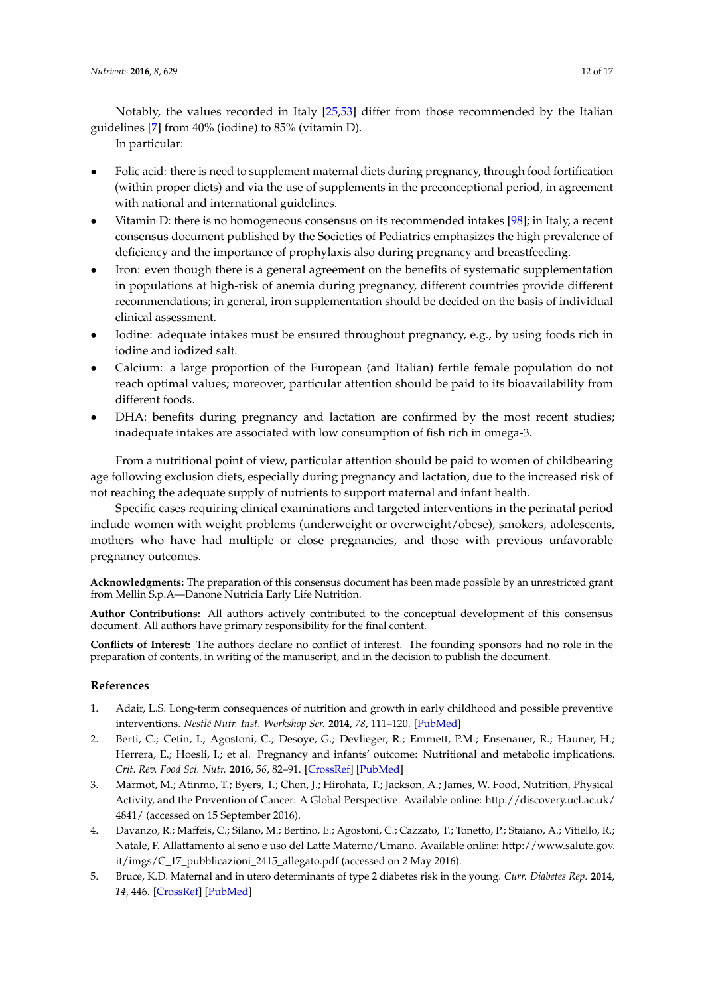Notably, the values recorded in Italy [\[25](#page-12-18)[,53\]](#page-14-5) differ from those recommended by the Italian guidelines [\[7\]](#page-12-1) from 40% (iodine) to 85% (vitamin D).

In particular:

- Folic acid: there is need to supplement maternal diets during pregnancy, through food fortification (within proper diets) and via the use of supplements in the preconceptional period, in agreement with national and international guidelines.
- Vitamin D: there is no homogeneous consensus on its recommended intakes [\[98\]](#page-16-9); in Italy, a recent consensus document published by the Societies of Pediatrics emphasizes the high prevalence of deficiency and the importance of prophylaxis also during pregnancy and breastfeeding.
- Iron: even though there is a general agreement on the benefits of systematic supplementation in populations at high-risk of anemia during pregnancy, different countries provide different recommendations; in general, iron supplementation should be decided on the basis of individual clinical assessment.
- Iodine: adequate intakes must be ensured throughout pregnancy, e.g., by using foods rich in iodine and iodized salt.
- Calcium: a large proportion of the European (and Italian) fertile female population do not reach optimal values; moreover, particular attention should be paid to its bioavailability from different foods.
- DHA: benefits during pregnancy and lactation are confirmed by the most recent studies; inadequate intakes are associated with low consumption of fish rich in omega-3.

From a nutritional point of view, particular attention should be paid to women of childbearing age following exclusion diets, especially during pregnancy and lactation, due to the increased risk of not reaching the adequate supply of nutrients to support maternal and infant health.

Specific cases requiring clinical examinations and targeted interventions in the perinatal period include women with weight problems (underweight or overweight/obese), smokers, adolescents, mothers who have had multiple or close pregnancies, and those with previous unfavorable pregnancy outcomes.

**Acknowledgments:** The preparation of this consensus document has been made possible by an unrestricted grant from Mellin S.p.A—Danone Nutricia Early Life Nutrition.

**Author Contributions:** All authors actively contributed to the conceptual development of this consensus document. All authors have primary responsibility for the final content.

**Conflicts of Interest:** The authors declare no conflict of interest. The founding sponsors had no role in the preparation of contents, in writing of the manuscript, and in the decision to publish the document.

# **References**

- <span id="page-11-0"></span>1. Adair, L.S. Long-term consequences of nutrition and growth in early childhood and possible preventive interventions. *Nestlé Nutr. Inst. Workshop Ser.* **2014**, *78*, 111–120. [\[PubMed\]](http://www.ncbi.nlm.nih.gov/pubmed/24504211)
- <span id="page-11-1"></span>2. Berti, C.; Cetin, I.; Agostoni, C.; Desoye, G.; Devlieger, R.; Emmett, P.M.; Ensenauer, R.; Hauner, H.; Herrera, E.; Hoesli, I.; et al. Pregnancy and infants' outcome: Nutritional and metabolic implications. *Crit. Rev. Food Sci. Nutr.* **2016**, *56*, 82–91. [\[CrossRef\]](http://dx.doi.org/10.1080/10408398.2012.745477) [\[PubMed\]](http://www.ncbi.nlm.nih.gov/pubmed/24628089)
- <span id="page-11-2"></span>3. Marmot, M.; Atinmo, T.; Byers, T.; Chen, J.; Hirohata, T.; Jackson, A.; James, W. Food, Nutrition, Physical Activity, and the Prevention of Cancer: A Global Perspective. Available online: [http://discovery.ucl.ac.uk/](http://discovery.ucl.ac.uk/4841/) [4841/](http://discovery.ucl.ac.uk/4841/) (accessed on 15 September 2016).
- <span id="page-11-3"></span>4. Davanzo, R.; Maffeis, C.; Silano, M.; Bertino, E.; Agostoni, C.; Cazzato, T.; Tonetto, P.; Staiano, A.; Vitiello, R.; Natale, F. Allattamento al seno e uso del Latte Materno/Umano. Available online: [http://www.salute.gov.](http://www.salute.gov.it/imgs/C_17_pubblicazioni_2415_allegato.pdf) [it/imgs/C\\_17\\_pubblicazioni\\_2415\\_allegato.pdf](http://www.salute.gov.it/imgs/C_17_pubblicazioni_2415_allegato.pdf) (accessed on 2 May 2016).
- <span id="page-11-4"></span>5. Bruce, K.D. Maternal and in utero determinants of type 2 diabetes risk in the young. *Curr. Diabetes Rep.* **2014**, *14*, 446. [\[CrossRef\]](http://dx.doi.org/10.1007/s11892-013-0446-0) [\[PubMed\]](http://www.ncbi.nlm.nih.gov/pubmed/24292969)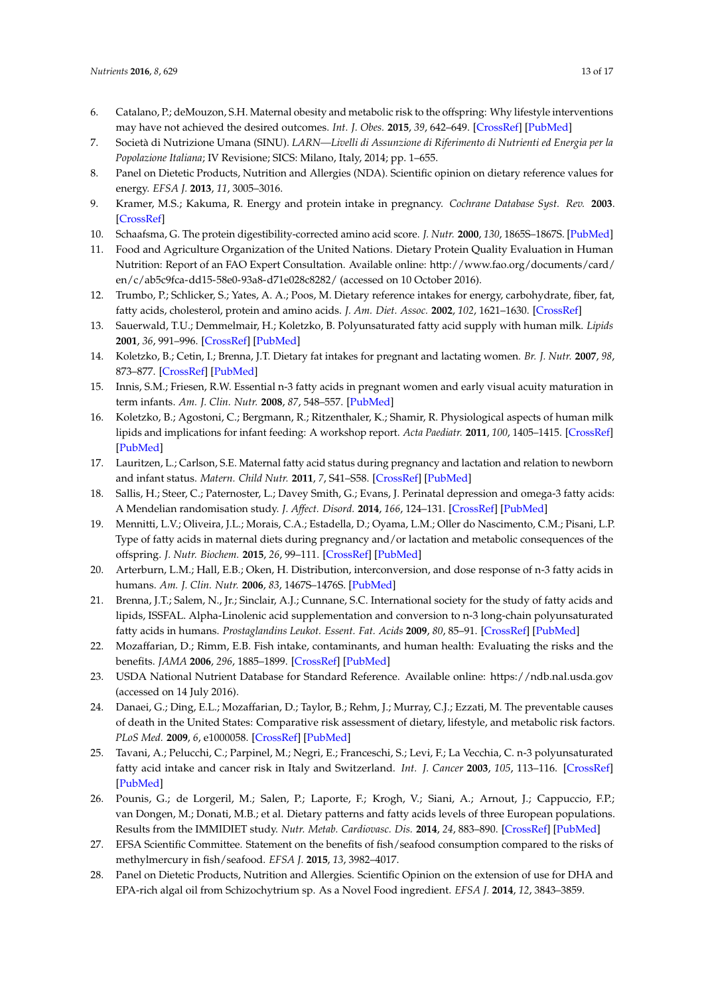- <span id="page-12-0"></span>6. Catalano, P.; deMouzon, S.H. Maternal obesity and metabolic risk to the offspring: Why lifestyle interventions may have not achieved the desired outcomes. *Int. J. Obes.* **2015**, *39*, 642–649. [\[CrossRef\]](http://dx.doi.org/10.1038/ijo.2015.15) [\[PubMed\]](http://www.ncbi.nlm.nih.gov/pubmed/25777180)
- <span id="page-12-1"></span>7. Società di Nutrizione Umana (SINU). *LARN—Livelli di Assunzione di Riferimento di Nutrienti ed Energia per la Popolazione Italiana*; IV Revisione; SICS: Milano, Italy, 2014; pp. 1–655.
- <span id="page-12-2"></span>8. Panel on Dietetic Products, Nutrition and Allergies (NDA). Scientific opinion on dietary reference values for energy. *EFSA J.* **2013**, *11*, 3005–3016.
- <span id="page-12-3"></span>9. Kramer, M.S.; Kakuma, R. Energy and protein intake in pregnancy. *Cochrane Database Syst. Rev.* **2003**. [\[CrossRef\]](http://dx.doi.org/10.1002/14651858.CD000032)
- <span id="page-12-4"></span>10. Schaafsma, G. The protein digestibility-corrected amino acid score. *J. Nutr.* **2000**, *130*, 1865S–1867S. [\[PubMed\]](http://www.ncbi.nlm.nih.gov/pubmed/10867064)
- <span id="page-12-5"></span>11. Food and Agriculture Organization of the United Nations. Dietary Protein Quality Evaluation in Human Nutrition: Report of an FAO Expert Consultation. Available online: [http://www.fao.org/documents/card/](http://www.fao.org/documents/card/en/c/ab5c9fca-dd15-58e0-93a8-d71e028c8282/) [en/c/ab5c9fca-dd15-58e0-93a8-d71e028c8282/](http://www.fao.org/documents/card/en/c/ab5c9fca-dd15-58e0-93a8-d71e028c8282/) (accessed on 10 October 2016).
- <span id="page-12-6"></span>12. Trumbo, P.; Schlicker, S.; Yates, A. A.; Poos, M. Dietary reference intakes for energy, carbohydrate, fiber, fat, fatty acids, cholesterol, protein and amino acids. *J. Am. Diet. Assoc.* **2002**, *102*, 1621–1630. [\[CrossRef\]](http://dx.doi.org/10.1016/S0002-8223(02)90346-9)
- <span id="page-12-7"></span>13. Sauerwald, T.U.; Demmelmair, H.; Koletzko, B. Polyunsaturated fatty acid supply with human milk. *Lipids* **2001**, *36*, 991–996. [\[CrossRef\]](http://dx.doi.org/10.1007/s11745-001-0810-9) [\[PubMed\]](http://www.ncbi.nlm.nih.gov/pubmed/11724472)
- <span id="page-12-8"></span>14. Koletzko, B.; Cetin, I.; Brenna, J.T. Dietary fat intakes for pregnant and lactating women. *Br. J. Nutr.* **2007**, *98*, 873–877. [\[CrossRef\]](http://dx.doi.org/10.1017/S0007114507764747) [\[PubMed\]](http://www.ncbi.nlm.nih.gov/pubmed/17688705)
- <span id="page-12-9"></span>15. Innis, S.M.; Friesen, R.W. Essential n-3 fatty acids in pregnant women and early visual acuity maturation in term infants. *Am. J. Clin. Nutr.* **2008**, *87*, 548–557. [\[PubMed\]](http://www.ncbi.nlm.nih.gov/pubmed/18326591)
- <span id="page-12-10"></span>16. Koletzko, B.; Agostoni, C.; Bergmann, R.; Ritzenthaler, K.; Shamir, R. Physiological aspects of human milk lipids and implications for infant feeding: A workshop report. *Acta Paediatr.* **2011**, *100*, 1405–1415. [\[CrossRef\]](http://dx.doi.org/10.1111/j.1651-2227.2011.02343.x) [\[PubMed\]](http://www.ncbi.nlm.nih.gov/pubmed/21535133)
- <span id="page-12-11"></span>17. Lauritzen, L.; Carlson, S.E. Maternal fatty acid status during pregnancy and lactation and relation to newborn and infant status. *Matern. Child Nutr.* **2011**, *7*, S41–S58. [\[CrossRef\]](http://dx.doi.org/10.1111/j.1740-8709.2011.00303.x) [\[PubMed\]](http://www.ncbi.nlm.nih.gov/pubmed/21366866)
- 18. Sallis, H.; Steer, C.; Paternoster, L.; Davey Smith, G.; Evans, J. Perinatal depression and omega-3 fatty acids: A Mendelian randomisation study. *J. Affect. Disord.* **2014**, *166*, 124–131. [\[CrossRef\]](http://dx.doi.org/10.1016/j.jad.2014.04.077) [\[PubMed\]](http://www.ncbi.nlm.nih.gov/pubmed/25012420)
- <span id="page-12-12"></span>19. Mennitti, L.V.; Oliveira, J.L.; Morais, C.A.; Estadella, D.; Oyama, L.M.; Oller do Nascimento, C.M.; Pisani, L.P. Type of fatty acids in maternal diets during pregnancy and/or lactation and metabolic consequences of the offspring. *J. Nutr. Biochem.* **2015**, *26*, 99–111. [\[CrossRef\]](http://dx.doi.org/10.1016/j.jnutbio.2014.10.001) [\[PubMed\]](http://www.ncbi.nlm.nih.gov/pubmed/25459884)
- <span id="page-12-13"></span>20. Arterburn, L.M.; Hall, E.B.; Oken, H. Distribution, interconversion, and dose response of n-3 fatty acids in humans. *Am. J. Clin. Nutr.* **2006**, *83*, 1467S–1476S. [\[PubMed\]](http://www.ncbi.nlm.nih.gov/pubmed/16841856)
- <span id="page-12-14"></span>21. Brenna, J.T.; Salem, N., Jr.; Sinclair, A.J.; Cunnane, S.C. International society for the study of fatty acids and lipids, ISSFAL. Alpha-Linolenic acid supplementation and conversion to n-3 long-chain polyunsaturated fatty acids in humans. *Prostaglandins Leukot. Essent. Fat. Acids* **2009**, *80*, 85–91. [\[CrossRef\]](http://dx.doi.org/10.1016/j.plefa.2009.01.004) [\[PubMed\]](http://www.ncbi.nlm.nih.gov/pubmed/19269799)
- <span id="page-12-15"></span>22. Mozaffarian, D.; Rimm, E.B. Fish intake, contaminants, and human health: Evaluating the risks and the benefits. *JAMA* **2006**, *296*, 1885–1899. [\[CrossRef\]](http://dx.doi.org/10.1001/jama.296.15.1885) [\[PubMed\]](http://www.ncbi.nlm.nih.gov/pubmed/17047219)
- <span id="page-12-16"></span>23. USDA National Nutrient Database for Standard Reference. Available online: <https://ndb.nal.usda.gov> (accessed on 14 July 2016).
- <span id="page-12-17"></span>24. Danaei, G.; Ding, E.L.; Mozaffarian, D.; Taylor, B.; Rehm, J.; Murray, C.J.; Ezzati, M. The preventable causes of death in the United States: Comparative risk assessment of dietary, lifestyle, and metabolic risk factors. *PLoS Med.* **2009**, *6*, e1000058. [\[CrossRef\]](http://dx.doi.org/10.1371/journal.pmed.1000058) [\[PubMed\]](http://www.ncbi.nlm.nih.gov/pubmed/19399161)
- <span id="page-12-18"></span>25. Tavani, A.; Pelucchi, C.; Parpinel, M.; Negri, E.; Franceschi, S.; Levi, F.; La Vecchia, C. n-3 polyunsaturated fatty acid intake and cancer risk in Italy and Switzerland. *Int. J. Cancer* **2003**, *105*, 113–116. [\[CrossRef\]](http://dx.doi.org/10.1002/ijc.11018) [\[PubMed\]](http://www.ncbi.nlm.nih.gov/pubmed/12672040)
- <span id="page-12-19"></span>26. Pounis, G.; de Lorgeril, M.; Salen, P.; Laporte, F.; Krogh, V.; Siani, A.; Arnout, J.; Cappuccio, F.P.; van Dongen, M.; Donati, M.B.; et al. Dietary patterns and fatty acids levels of three European populations. Results from the IMMIDIET study. *Nutr. Metab. Cardiovasc. Dis.* **2014**, *24*, 883–890. [\[CrossRef\]](http://dx.doi.org/10.1016/j.numecd.2014.01.012) [\[PubMed\]](http://www.ncbi.nlm.nih.gov/pubmed/24972558)
- <span id="page-12-20"></span>27. EFSA Scientific Committee. Statement on the benefits of fish/seafood consumption compared to the risks of methylmercury in fish/seafood. *EFSA J.* **2015**, *13*, 3982–4017.
- <span id="page-12-21"></span>28. Panel on Dietetic Products, Nutrition and Allergies. Scientific Opinion on the extension of use for DHA and EPA-rich algal oil from Schizochytrium sp. As a Novel Food ingredient. *EFSA J.* **2014**, *12*, 3843–3859.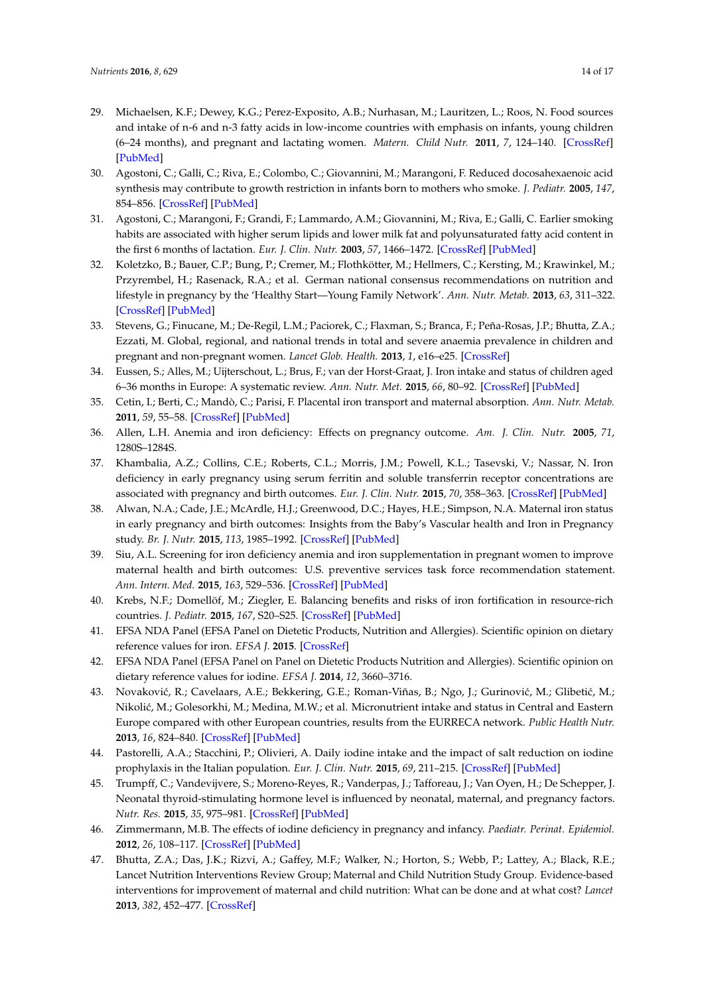- <span id="page-13-0"></span>29. Michaelsen, K.F.; Dewey, K.G.; Perez-Exposito, A.B.; Nurhasan, M.; Lauritzen, L.; Roos, N. Food sources and intake of n-6 and n-3 fatty acids in low-income countries with emphasis on infants, young children (6–24 months), and pregnant and lactating women. *Matern. Child Nutr.* **2011**, *7*, 124–140. [\[CrossRef\]](http://dx.doi.org/10.1111/j.1740-8709.2011.00302.x) [\[PubMed\]](http://www.ncbi.nlm.nih.gov/pubmed/21366872)
- <span id="page-13-1"></span>30. Agostoni, C.; Galli, C.; Riva, E.; Colombo, C.; Giovannini, M.; Marangoni, F. Reduced docosahexaenoic acid synthesis may contribute to growth restriction in infants born to mothers who smoke. *J. Pediatr.* **2005**, *147*, 854–856. [\[CrossRef\]](http://dx.doi.org/10.1016/j.jpeds.2005.05.040) [\[PubMed\]](http://www.ncbi.nlm.nih.gov/pubmed/16356447)
- <span id="page-13-2"></span>31. Agostoni, C.; Marangoni, F.; Grandi, F.; Lammardo, A.M.; Giovannini, M.; Riva, E.; Galli, C. Earlier smoking habits are associated with higher serum lipids and lower milk fat and polyunsaturated fatty acid content in the first 6 months of lactation. *Eur. J. Clin. Nutr.* **2003**, *57*, 1466–1472. [\[CrossRef\]](http://dx.doi.org/10.1038/sj.ejcn.1601711) [\[PubMed\]](http://www.ncbi.nlm.nih.gov/pubmed/14576760)
- <span id="page-13-3"></span>32. Koletzko, B.; Bauer, C.P.; Bung, P.; Cremer, M.; Flothkötter, M.; Hellmers, C.; Kersting, M.; Krawinkel, M.; Przyrembel, H.; Rasenack, R.A.; et al. German national consensus recommendations on nutrition and lifestyle in pregnancy by the 'Healthy Start—Young Family Network'. *Ann. Nutr. Metab.* **2013**, *63*, 311–322. [\[CrossRef\]](http://dx.doi.org/10.1159/000358398) [\[PubMed\]](http://www.ncbi.nlm.nih.gov/pubmed/24514069)
- <span id="page-13-4"></span>33. Stevens, G.; Finucane, M.; De-Regil, L.M.; Paciorek, C.; Flaxman, S.; Branca, F.; Peña-Rosas, J.P.; Bhutta, Z.A.; Ezzati, M. Global, regional, and national trends in total and severe anaemia prevalence in children and pregnant and non-pregnant women. *Lancet Glob. Health.* **2013**, *1*, e16–e25. [\[CrossRef\]](http://dx.doi.org/10.1016/S2214-109X(13)70001-9)
- <span id="page-13-5"></span>34. Eussen, S.; Alles, M.; Uijterschout, L.; Brus, F.; van der Horst-Graat, J. Iron intake and status of children aged 6–36 months in Europe: A systematic review. *Ann. Nutr. Met.* **2015**, *66*, 80–92. [\[CrossRef\]](http://dx.doi.org/10.1159/000371357) [\[PubMed\]](http://www.ncbi.nlm.nih.gov/pubmed/25612840)
- <span id="page-13-6"></span>35. Cetin, I.; Berti, C.; Mandò, C.; Parisi, F. Placental iron transport and maternal absorption. *Ann. Nutr. Metab.* **2011**, *59*, 55–58. [\[CrossRef\]](http://dx.doi.org/10.1159/000332133) [\[PubMed\]](http://www.ncbi.nlm.nih.gov/pubmed/22123640)
- <span id="page-13-7"></span>36. Allen, L.H. Anemia and iron deficiency: Effects on pregnancy outcome. *Am. J. Clin. Nutr.* **2005**, *71*, 1280S–1284S.
- <span id="page-13-8"></span>37. Khambalia, A.Z.; Collins, C.E.; Roberts, C.L.; Morris, J.M.; Powell, K.L.; Tasevski, V.; Nassar, N. Iron deficiency in early pregnancy using serum ferritin and soluble transferrin receptor concentrations are associated with pregnancy and birth outcomes. *Eur. J. Clin. Nutr.* **2015**, *70*, 358–363. [\[CrossRef\]](http://dx.doi.org/10.1038/ejcn.2015.157) [\[PubMed\]](http://www.ncbi.nlm.nih.gov/pubmed/26373962)
- <span id="page-13-9"></span>38. Alwan, N.A.; Cade, J.E.; McArdle, H.J.; Greenwood, D.C.; Hayes, H.E.; Simpson, N.A. Maternal iron status in early pregnancy and birth outcomes: Insights from the Baby's Vascular health and Iron in Pregnancy study. *Br. J. Nutr.* **2015**, *113*, 1985–1992. [\[CrossRef\]](http://dx.doi.org/10.1017/S0007114515001166) [\[PubMed\]](http://www.ncbi.nlm.nih.gov/pubmed/25946517)
- <span id="page-13-10"></span>39. Siu, A.L. Screening for iron deficiency anemia and iron supplementation in pregnant women to improve maternal health and birth outcomes: U.S. preventive services task force recommendation statement. *Ann. Intern. Med.* **2015**, *163*, 529–536. [\[CrossRef\]](http://dx.doi.org/10.7326/M15-1707) [\[PubMed\]](http://www.ncbi.nlm.nih.gov/pubmed/26344176)
- <span id="page-13-11"></span>40. Krebs, N.F.; Domellöf, M.; Ziegler, E. Balancing benefits and risks of iron fortification in resource-rich countries. *J. Pediatr.* **2015**, *167*, S20–S25. [\[CrossRef\]](http://dx.doi.org/10.1016/j.jpeds.2015.07.016) [\[PubMed\]](http://www.ncbi.nlm.nih.gov/pubmed/26364020)
- <span id="page-13-12"></span>41. EFSA NDA Panel (EFSA Panel on Dietetic Products, Nutrition and Allergies). Scientific opinion on dietary reference values for iron. *EFSA J.* **2015**. [\[CrossRef\]](http://dx.doi.org/10.2903/j.efsa.2015.4101)
- <span id="page-13-13"></span>42. EFSA NDA Panel (EFSA Panel on Panel on Dietetic Products Nutrition and Allergies). Scientific opinion on dietary reference values for iodine. *EFSA J.* **2014**, *12*, 3660–3716.
- <span id="page-13-14"></span>43. Novaković, R.; Cavelaars, A.E.; Bekkering, G.E.; Roman-Viñas, B.; Ngo, J.; Gurinović, M.; Glibetić, M.; Nikolić, M.; Golesorkhi, M.; Medina, M.W.; et al. Micronutrient intake and status in Central and Eastern Europe compared with other European countries, results from the EURRECA network. *Public Health Nutr.* **2013**, *16*, 824–840. [\[CrossRef\]](http://dx.doi.org/10.1017/S1368980012004077) [\[PubMed\]](http://www.ncbi.nlm.nih.gov/pubmed/22995736)
- <span id="page-13-15"></span>44. Pastorelli, A.A.; Stacchini, P.; Olivieri, A. Daily iodine intake and the impact of salt reduction on iodine prophylaxis in the Italian population. *Eur. J. Clin. Nutr.* **2015**, *69*, 211–215. [\[CrossRef\]](http://dx.doi.org/10.1038/ejcn.2014.206) [\[PubMed\]](http://www.ncbi.nlm.nih.gov/pubmed/25293434)
- <span id="page-13-16"></span>45. Trumpff, C.; Vandevijvere, S.; Moreno-Reyes, R.; Vanderpas, J.; Tafforeau, J.; Van Oyen, H.; De Schepper, J. Neonatal thyroid-stimulating hormone level is influenced by neonatal, maternal, and pregnancy factors. *Nutr. Res.* **2015**, *35*, 975–981. [\[CrossRef\]](http://dx.doi.org/10.1016/j.nutres.2015.09.002) [\[PubMed\]](http://www.ncbi.nlm.nih.gov/pubmed/26428622)
- <span id="page-13-17"></span>46. Zimmermann, M.B. The effects of iodine deficiency in pregnancy and infancy. *Paediatr. Perinat. Epidemiol.* **2012**, *26*, 108–117. [\[CrossRef\]](http://dx.doi.org/10.1111/j.1365-3016.2012.01275.x) [\[PubMed\]](http://www.ncbi.nlm.nih.gov/pubmed/22742605)
- <span id="page-13-18"></span>47. Bhutta, Z.A.; Das, J.K.; Rizvi, A.; Gaffey, M.F.; Walker, N.; Horton, S.; Webb, P.; Lattey, A.; Black, R.E.; Lancet Nutrition Interventions Review Group; Maternal and Child Nutrition Study Group. Evidence-based interventions for improvement of maternal and child nutrition: What can be done and at what cost? *Lancet* **2013**, *382*, 452–477. [\[CrossRef\]](http://dx.doi.org/10.1016/S0140-6736(13)60996-4)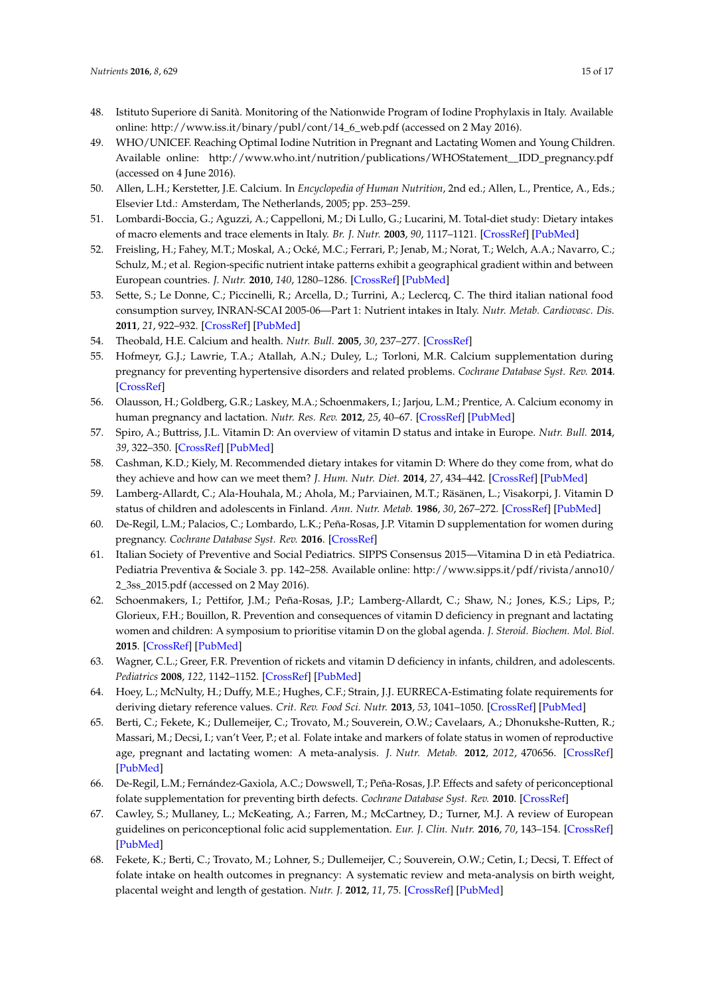- <span id="page-14-0"></span>48. Istituto Superiore di Sanità. Monitoring of the Nationwide Program of Iodine Prophylaxis in Italy. Available online: [http://www.iss.it/binary/publ/cont/14\\_6\\_web.pdf](http://www.iss.it/binary/publ/cont/14_6_web.pdf) (accessed on 2 May 2016).
- <span id="page-14-1"></span>49. WHO/UNICEF. Reaching Optimal Iodine Nutrition in Pregnant and Lactating Women and Young Children. Available online: [http://www.who.int/nutrition/publications/WHOStatement\\_\\_IDD\\_pregnancy.pdf](http://www.who.int/nutrition/publications/WHOStatement__IDD_pregnancy.pdf) (accessed on 4 June 2016).
- <span id="page-14-2"></span>50. Allen, L.H.; Kerstetter, J.E. Calcium. In *Encyclopedia of Human Nutrition*, 2nd ed.; Allen, L., Prentice, A., Eds.; Elsevier Ltd.: Amsterdam, The Netherlands, 2005; pp. 253–259.
- <span id="page-14-3"></span>51. Lombardi-Boccia, G.; Aguzzi, A.; Cappelloni, M.; Di Lullo, G.; Lucarini, M. Total-diet study: Dietary intakes of macro elements and trace elements in Italy. *Br. J. Nutr.* **2003**, *90*, 1117–1121. [\[CrossRef\]](http://dx.doi.org/10.1079/BJN2003997) [\[PubMed\]](http://www.ncbi.nlm.nih.gov/pubmed/14641971)
- <span id="page-14-4"></span>52. Freisling, H.; Fahey, M.T.; Moskal, A.; Ocké, M.C.; Ferrari, P.; Jenab, M.; Norat, T.; Welch, A.A.; Navarro, C.; Schulz, M.; et al. Region-specific nutrient intake patterns exhibit a geographical gradient within and between European countries. *J. Nutr.* **2010**, *140*, 1280–1286. [\[CrossRef\]](http://dx.doi.org/10.3945/jn.110.121152) [\[PubMed\]](http://www.ncbi.nlm.nih.gov/pubmed/20484545)
- <span id="page-14-5"></span>53. Sette, S.; Le Donne, C.; Piccinelli, R.; Arcella, D.; Turrini, A.; Leclercq, C. The third italian national food consumption survey, INRAN-SCAI 2005-06—Part 1: Nutrient intakes in Italy. *Nutr. Metab. Cardiovasc. Dis.* **2011**, *21*, 922–932. [\[CrossRef\]](http://dx.doi.org/10.1016/j.numecd.2010.03.001) [\[PubMed\]](http://www.ncbi.nlm.nih.gov/pubmed/20674305)
- <span id="page-14-6"></span>54. Theobald, H.E. Calcium and health. *Nutr. Bull.* **2005**, *30*, 237–277. [\[CrossRef\]](http://dx.doi.org/10.1111/j.1467-3010.2005.00514.x)
- <span id="page-14-7"></span>55. Hofmeyr, G.J.; Lawrie, T.A.; Atallah, A.N.; Duley, L.; Torloni, M.R. Calcium supplementation during pregnancy for preventing hypertensive disorders and related problems. *Cochrane Database Syst. Rev.* **2014**. [\[CrossRef\]](http://dx.doi.org/10.1002/14651858.CD001059.pub3)
- <span id="page-14-8"></span>56. Olausson, H.; Goldberg, G.R.; Laskey, M.A.; Schoenmakers, I.; Jarjou, L.M.; Prentice, A. Calcium economy in human pregnancy and lactation. *Nutr. Res. Rev.* **2012**, *25*, 40–67. [\[CrossRef\]](http://dx.doi.org/10.1017/S0954422411000187) [\[PubMed\]](http://www.ncbi.nlm.nih.gov/pubmed/22894942)
- <span id="page-14-9"></span>57. Spiro, A.; Buttriss, J.L. Vitamin D: An overview of vitamin D status and intake in Europe. *Nutr. Bull.* **2014**, *39*, 322–350. [\[CrossRef\]](http://dx.doi.org/10.1111/nbu.12108) [\[PubMed\]](http://www.ncbi.nlm.nih.gov/pubmed/25635171)
- <span id="page-14-10"></span>58. Cashman, K.D.; Kiely, M. Recommended dietary intakes for vitamin D: Where do they come from, what do they achieve and how can we meet them? *J. Hum. Nutr. Diet.* **2014**, *27*, 434–442. [\[CrossRef\]](http://dx.doi.org/10.1111/jhn.12226) [\[PubMed\]](http://www.ncbi.nlm.nih.gov/pubmed/24580775)
- <span id="page-14-11"></span>59. Lamberg-Allardt, C.; Ala-Houhala, M.; Ahola, M.; Parviainen, M.T.; Räsänen, L.; Visakorpi, J. Vitamin D status of children and adolescents in Finland. *Ann. Nutr. Metab.* **1986**, *30*, 267–272. [\[CrossRef\]](http://dx.doi.org/10.1159/000177203) [\[PubMed\]](http://www.ncbi.nlm.nih.gov/pubmed/3752926)
- <span id="page-14-12"></span>60. De-Regil, L.M.; Palacios, C.; Lombardo, L.K.; Peña-Rosas, J.P. Vitamin D supplementation for women during pregnancy. *Cochrane Database Syst. Rev.* **2016**. [\[CrossRef\]](http://dx.doi.org/10.1002/14651858.CD008873.pub2)
- <span id="page-14-13"></span>61. Italian Society of Preventive and Social Pediatrics. SIPPS Consensus 2015—Vitamina D in età Pediatrica. Pediatria Preventiva & Sociale 3. pp. 142–258. Available online: [http://www.sipps.it/pdf/rivista/anno10/](http://www.sipps.it/pdf/rivista/anno10/2_3ss_2015.pdf) [2\\_3ss\\_2015.pdf](http://www.sipps.it/pdf/rivista/anno10/2_3ss_2015.pdf) (accessed on 2 May 2016).
- <span id="page-14-14"></span>62. Schoenmakers, I.; Pettifor, J.M.; Peña-Rosas, J.P.; Lamberg-Allardt, C.; Shaw, N.; Jones, K.S.; Lips, P.; Glorieux, F.H.; Bouillon, R. Prevention and consequences of vitamin D deficiency in pregnant and lactating women and children: A symposium to prioritise vitamin D on the global agenda. *J. Steroid. Biochem. Mol. Biol.* **2015**. [\[CrossRef\]](http://dx.doi.org/10.1016/j.jsbmb.2015.11.004) [\[PubMed\]](http://www.ncbi.nlm.nih.gov/pubmed/26569647)
- <span id="page-14-15"></span>63. Wagner, C.L.; Greer, F.R. Prevention of rickets and vitamin D deficiency in infants, children, and adolescents. *Pediatrics* **2008**, *122*, 1142–1152. [\[CrossRef\]](http://dx.doi.org/10.1542/peds.2008-1862) [\[PubMed\]](http://www.ncbi.nlm.nih.gov/pubmed/18977996)
- <span id="page-14-16"></span>64. Hoey, L.; McNulty, H.; Duffy, M.E.; Hughes, C.F.; Strain, J.J. EURRECA-Estimating folate requirements for deriving dietary reference values. *Crit. Rev. Food Sci. Nutr.* **2013**, *53*, 1041–1050. [\[CrossRef\]](http://dx.doi.org/10.1080/10408398.2012.742858) [\[PubMed\]](http://www.ncbi.nlm.nih.gov/pubmed/23952086)
- <span id="page-14-17"></span>65. Berti, C.; Fekete, K.; Dullemeijer, C.; Trovato, M.; Souverein, O.W.; Cavelaars, A.; Dhonukshe-Rutten, R.; Massari, M.; Decsi, I.; van't Veer, P.; et al. Folate intake and markers of folate status in women of reproductive age, pregnant and lactating women: A meta-analysis. *J. Nutr. Metab.* **2012**, *2012*, 470656. [\[CrossRef\]](http://dx.doi.org/10.1155/2012/470656) [\[PubMed\]](http://www.ncbi.nlm.nih.gov/pubmed/23024859)
- <span id="page-14-18"></span>66. De-Regil, L.M.; Fernández-Gaxiola, A.C.; Dowswell, T.; Peña-Rosas, J.P. Effects and safety of periconceptional folate supplementation for preventing birth defects. *Cochrane Database Syst. Rev.* **2010**. [\[CrossRef\]](http://dx.doi.org/10.1002/14651858.CD007950)
- <span id="page-14-19"></span>67. Cawley, S.; Mullaney, L.; McKeating, A.; Farren, M.; McCartney, D.; Turner, M.J. A review of European guidelines on periconceptional folic acid supplementation. *Eur. J. Clin. Nutr.* **2016**, *70*, 143–154. [\[CrossRef\]](http://dx.doi.org/10.1038/ejcn.2015.131) [\[PubMed\]](http://www.ncbi.nlm.nih.gov/pubmed/26350391)
- <span id="page-14-20"></span>68. Fekete, K.; Berti, C.; Trovato, M.; Lohner, S.; Dullemeijer, C.; Souverein, O.W.; Cetin, I.; Decsi, T. Effect of folate intake on health outcomes in pregnancy: A systematic review and meta-analysis on birth weight, placental weight and length of gestation. *Nutr. J.* **2012**, *11*, 75. [\[CrossRef\]](http://dx.doi.org/10.1186/1475-2891-11-75) [\[PubMed\]](http://www.ncbi.nlm.nih.gov/pubmed/22992251)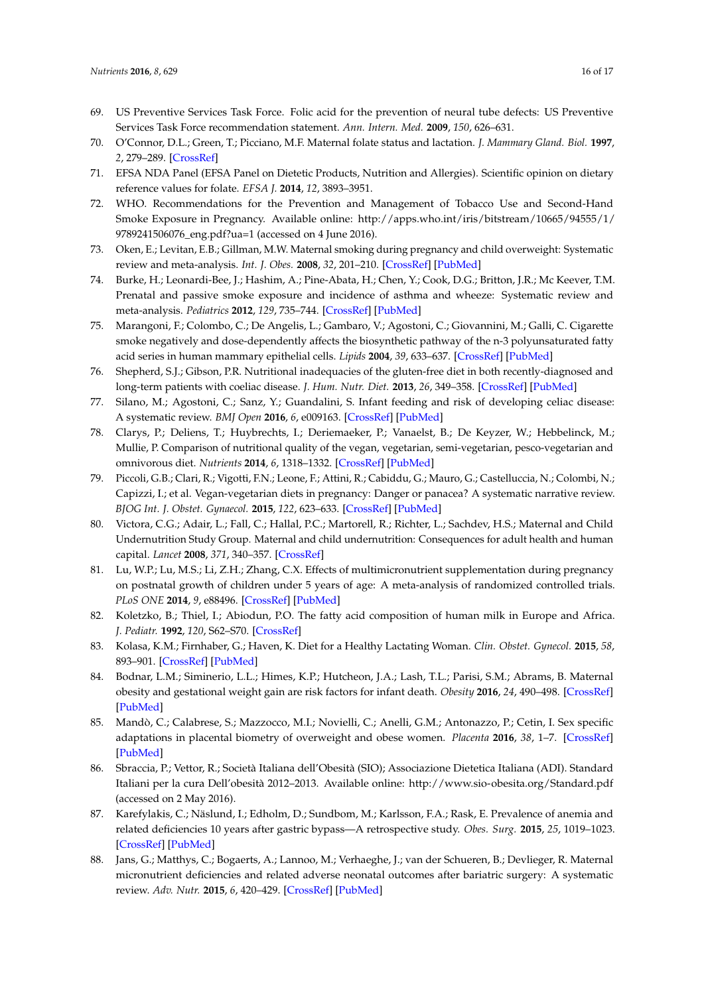- <span id="page-15-0"></span>69. US Preventive Services Task Force. Folic acid for the prevention of neural tube defects: US Preventive Services Task Force recommendation statement. *Ann. Intern. Med.* **2009**, *150*, 626–631.
- <span id="page-15-1"></span>70. O'Connor, D.L.; Green, T.; Picciano, M.F. Maternal folate status and lactation. *J. Mammary Gland. Biol.* **1997**, *2*, 279–289. [\[CrossRef\]](http://dx.doi.org/10.1023/A:1026388522182)
- <span id="page-15-2"></span>71. EFSA NDA Panel (EFSA Panel on Dietetic Products, Nutrition and Allergies). Scientific opinion on dietary reference values for folate. *EFSA J.* **2014**, *12*, 3893–3951.
- <span id="page-15-3"></span>72. WHO. Recommendations for the Prevention and Management of Tobacco Use and Second-Hand Smoke Exposure in Pregnancy. Available online: [http://apps.who.int/iris/bitstream/10665/94555/1/](http://apps.who.int/iris/bitstream/10665/94555/1/9789241506076_eng.pdf?ua=1) [9789241506076\\_eng.pdf?ua=1](http://apps.who.int/iris/bitstream/10665/94555/1/9789241506076_eng.pdf?ua=1) (accessed on 4 June 2016).
- <span id="page-15-4"></span>73. Oken, E.; Levitan, E.B.; Gillman, M.W. Maternal smoking during pregnancy and child overweight: Systematic review and meta-analysis. *Int. J. Obes.* **2008**, *32*, 201–210. [\[CrossRef\]](http://dx.doi.org/10.1038/sj.ijo.0803760) [\[PubMed\]](http://www.ncbi.nlm.nih.gov/pubmed/18278059)
- <span id="page-15-5"></span>74. Burke, H.; Leonardi-Bee, J.; Hashim, A.; Pine-Abata, H.; Chen, Y.; Cook, D.G.; Britton, J.R.; Mc Keever, T.M. Prenatal and passive smoke exposure and incidence of asthma and wheeze: Systematic review and meta-analysis. *Pediatrics* **2012**, *129*, 735–744. [\[CrossRef\]](http://dx.doi.org/10.1542/peds.2011-2196) [\[PubMed\]](http://www.ncbi.nlm.nih.gov/pubmed/22430451)
- <span id="page-15-6"></span>75. Marangoni, F.; Colombo, C.; De Angelis, L.; Gambaro, V.; Agostoni, C.; Giovannini, M.; Galli, C. Cigarette smoke negatively and dose-dependently affects the biosynthetic pathway of the n-3 polyunsaturated fatty acid series in human mammary epithelial cells. *Lipids* **2004**, *39*, 633–637. [\[CrossRef\]](http://dx.doi.org/10.1007/s11745-004-1276-5) [\[PubMed\]](http://www.ncbi.nlm.nih.gov/pubmed/15588020)
- <span id="page-15-7"></span>76. Shepherd, S.J.; Gibson, P.R. Nutritional inadequacies of the gluten-free diet in both recently-diagnosed and long-term patients with coeliac disease. *J. Hum. Nutr. Diet.* **2013**, *26*, 349–358. [\[CrossRef\]](http://dx.doi.org/10.1111/jhn.12018) [\[PubMed\]](http://www.ncbi.nlm.nih.gov/pubmed/23198728)
- <span id="page-15-8"></span>77. Silano, M.; Agostoni, C.; Sanz, Y.; Guandalini, S. Infant feeding and risk of developing celiac disease: A systematic review. *BMJ Open* **2016**, *6*, e009163. [\[CrossRef\]](http://dx.doi.org/10.1136/bmjopen-2015-009163) [\[PubMed\]](http://www.ncbi.nlm.nih.gov/pubmed/26810996)
- <span id="page-15-9"></span>78. Clarys, P.; Deliens, T.; Huybrechts, I.; Deriemaeker, P.; Vanaelst, B.; De Keyzer, W.; Hebbelinck, M.; Mullie, P. Comparison of nutritional quality of the vegan, vegetarian, semi-vegetarian, pesco-vegetarian and omnivorous diet. *Nutrients* **2014**, *6*, 1318–1332. [\[CrossRef\]](http://dx.doi.org/10.3390/nu6031318) [\[PubMed\]](http://www.ncbi.nlm.nih.gov/pubmed/24667136)
- <span id="page-15-10"></span>79. Piccoli, G.B.; Clari, R.; Vigotti, F.N.; Leone, F.; Attini, R.; Cabiddu, G.; Mauro, G.; Castelluccia, N.; Colombi, N.; Capizzi, I.; et al. Vegan-vegetarian diets in pregnancy: Danger or panacea? A systematic narrative review. *BJOG Int. J. Obstet. Gynaecol.* **2015**, *122*, 623–633. [\[CrossRef\]](http://dx.doi.org/10.1111/1471-0528.13280) [\[PubMed\]](http://www.ncbi.nlm.nih.gov/pubmed/25600902)
- <span id="page-15-11"></span>80. Victora, C.G.; Adair, L.; Fall, C.; Hallal, P.C.; Martorell, R.; Richter, L.; Sachdev, H.S.; Maternal and Child Undernutrition Study Group. Maternal and child undernutrition: Consequences for adult health and human capital. *Lancet* **2008**, *371*, 340–357. [\[CrossRef\]](http://dx.doi.org/10.1016/S0140-6736(07)61692-4)
- <span id="page-15-12"></span>81. Lu, W.P.; Lu, M.S.; Li, Z.H.; Zhang, C.X. Effects of multimicronutrient supplementation during pregnancy on postnatal growth of children under 5 years of age: A meta-analysis of randomized controlled trials. *PLoS ONE* **2014**, *9*, e88496. [\[CrossRef\]](http://dx.doi.org/10.1371/journal.pone.0088496) [\[PubMed\]](http://www.ncbi.nlm.nih.gov/pubmed/24586335)
- <span id="page-15-13"></span>82. Koletzko, B.; Thiel, I.; Abiodun, P.O. The fatty acid composition of human milk in Europe and Africa. *J. Pediatr.* **1992**, *120*, S62–S70. [\[CrossRef\]](http://dx.doi.org/10.1016/S0022-3476(05)81238-7)
- <span id="page-15-14"></span>83. Kolasa, K.M.; Firnhaber, G.; Haven, K. Diet for a Healthy Lactating Woman. *Clin. Obstet. Gynecol.* **2015**, *58*, 893–901. [\[CrossRef\]](http://dx.doi.org/10.1097/GRF.0000000000000144) [\[PubMed\]](http://www.ncbi.nlm.nih.gov/pubmed/26398295)
- <span id="page-15-15"></span>84. Bodnar, L.M.; Siminerio, L.L.; Himes, K.P.; Hutcheon, J.A.; Lash, T.L.; Parisi, S.M.; Abrams, B. Maternal obesity and gestational weight gain are risk factors for infant death. *Obesity* **2016**, *24*, 490–498. [\[CrossRef\]](http://dx.doi.org/10.1002/oby.21335) [\[PubMed\]](http://www.ncbi.nlm.nih.gov/pubmed/26572932)
- <span id="page-15-16"></span>85. Mandò, C.; Calabrese, S.; Mazzocco, M.I.; Novielli, C.; Anelli, G.M.; Antonazzo, P.; Cetin, I. Sex specific adaptations in placental biometry of overweight and obese women. *Placenta* **2016**, *38*, 1–7. [\[CrossRef\]](http://dx.doi.org/10.1016/j.placenta.2015.12.008) [\[PubMed\]](http://www.ncbi.nlm.nih.gov/pubmed/26907375)
- <span id="page-15-17"></span>86. Sbraccia, P.; Vettor, R.; Società Italiana dell'Obesità (SIO); Associazione Dietetica Italiana (ADI). Standard Italiani per la cura Dell'obesità 2012–2013. Available online: <http://www.sio-obesita.org/Standard.pdf> (accessed on 2 May 2016).
- <span id="page-15-18"></span>87. Karefylakis, C.; Näslund, I.; Edholm, D.; Sundbom, M.; Karlsson, F.A.; Rask, E. Prevalence of anemia and related deficiencies 10 years after gastric bypass—A retrospective study. *Obes. Surg.* **2015**, *25*, 1019–1023. [\[CrossRef\]](http://dx.doi.org/10.1007/s11695-014-1500-y) [\[PubMed\]](http://www.ncbi.nlm.nih.gov/pubmed/25394588)
- <span id="page-15-19"></span>88. Jans, G.; Matthys, C.; Bogaerts, A.; Lannoo, M.; Verhaeghe, J.; van der Schueren, B.; Devlieger, R. Maternal micronutrient deficiencies and related adverse neonatal outcomes after bariatric surgery: A systematic review. *Adv. Nutr.* **2015**, *6*, 420–429. [\[CrossRef\]](http://dx.doi.org/10.3945/an.114.008086) [\[PubMed\]](http://www.ncbi.nlm.nih.gov/pubmed/26178026)